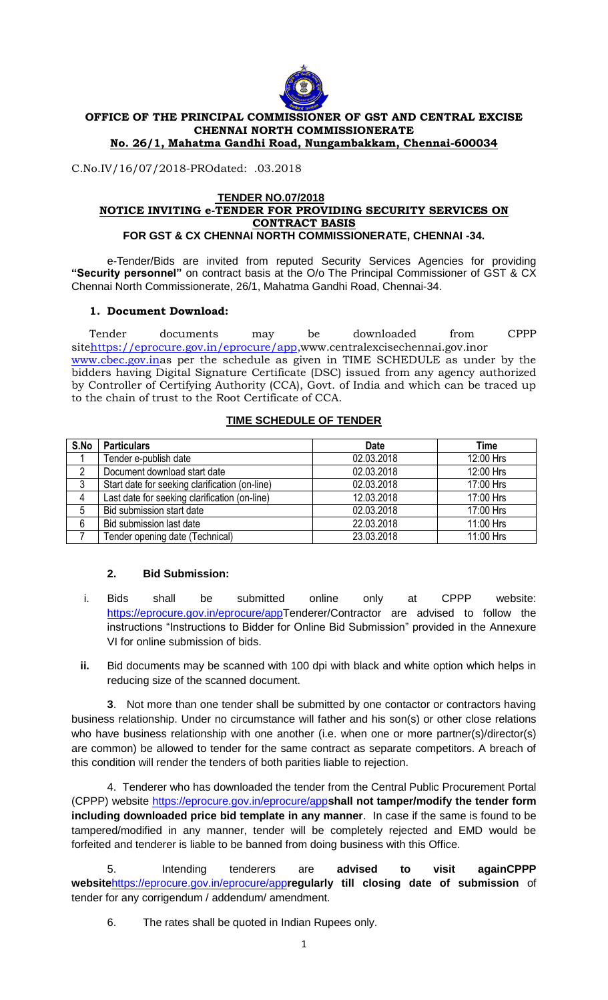

# **OFFICE OF THE PRINCIPAL COMMISSIONER OF GST AND CENTRAL EXCISE CHENNAI NORTH COMMISSIONERATE**

**No. 26/1, Mahatma Gandhi Road, Nungambakkam, Chennai-600034**

C.No.IV/16/07/2018-PROdated: .03.2018

#### **TENDER NO.07/2018 NOTICE INVITING e-TENDER FOR PROVIDING SECURITY SERVICES ON CONTRACT BASIS FOR GST & CX CHENNAI NORTH COMMISSIONERATE, CHENNAI -34.**

e-Tender/Bids are invited from reputed Security Services Agencies for providing **"Security personnel"** on contract basis at the O/o The Principal Commissioner of GST & CX Chennai North Commissionerate, 26/1, Mahatma Gandhi Road, Chennai-34.

## **1. Document Download:**

Tender documents may be downloaded from CPPP sit[ehttps://eprocure.gov.in/eprocure/app](https://eprocure.gov.in/eprocure/app)[,www.centralexcisechennai.gov.ino](http://www.centralexcisechennai.gov.in/)r [www.cbec.gov.ina](http://www.cbec.gov.in/)s per the schedule as given in TIME SCHEDULE as under by the bidders having Digital Signature Certificate (DSC) issued from any agency authorized by Controller of Certifying Authority (CCA), Govt. of India and which can be traced up to the chain of trust to the Root Certificate of CCA.

## **TIME SCHEDULE OF TENDER**

| S.No | <b>Particulars</b>                             | <b>Date</b> | <b>Time</b> |
|------|------------------------------------------------|-------------|-------------|
|      | Tender e-publish date                          | 02.03.2018  | 12:00 Hrs   |
|      | Document download start date                   | 02.03.2018  | 12:00 Hrs   |
| 3    | Start date for seeking clarification (on-line) | 02.03.2018  | 17:00 Hrs   |
| 4    | Last date for seeking clarification (on-line)  | 12.03.2018  | 17:00 Hrs   |
| 5    | Bid submission start date                      | 02.03.2018  | 17:00 Hrs   |
| 6    | Bid submission last date                       | 22.03.2018  | 11:00 Hrs   |
|      | Tender opening date (Technical)                | 23.03.2018  | 11:00 Hrs   |

## **2. Bid Submission:**

- i. Bids shall be submitted online only at CPPP website: [https://eprocure.gov.in/eprocure/appT](https://eprocure.gov.in/eprocure/app)enderer/Contractor are advised to follow the instructions "Instructions to Bidder for Online Bid Submission" provided in the Annexure VI for online submission of bids.
- **ii.** Bid documents may be scanned with 100 dpi with black and white option which helps in reducing size of the scanned document.

**3**. Not more than one tender shall be submitted by one contactor or contractors having business relationship. Under no circumstance will father and his son(s) or other close relations who have business relationship with one another (i.e. when one or more partner(s)/director(s) are common) be allowed to tender for the same contract as separate competitors. A breach of this condition will render the tenders of both parities liable to rejection.

4. Tenderer who has downloaded the tender from the Central Public Procurement Portal (CPPP) website<https://eprocure.gov.in/eprocure/app>**shall not tamper/modify the tender form including downloaded price bid template in any manner**. In case if the same is found to be tampered/modified in any manner, tender will be completely rejected and EMD would be forfeited and tenderer is liable to be banned from doing business with this Office.

5. Intending tenderers are **advised to visit againCPPP website**<https://eprocure.gov.in/eprocure/app>**regularly till closing date of submission** of tender for any corrigendum / addendum/ amendment.

6. The rates shall be quoted in Indian Rupees only.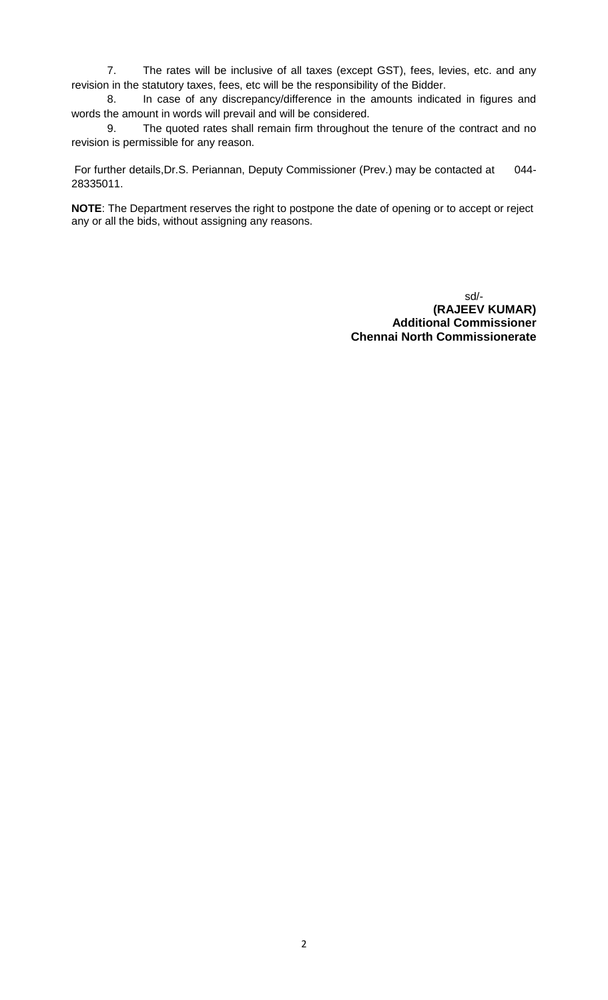7. The rates will be inclusive of all taxes (except GST), fees, levies, etc. and any revision in the statutory taxes, fees, etc will be the responsibility of the Bidder.

8. In case of any discrepancy/difference in the amounts indicated in figures and words the amount in words will prevail and will be considered.

9. The quoted rates shall remain firm throughout the tenure of the contract and no revision is permissible for any reason.

For further details,Dr.S. Periannan, Deputy Commissioner (Prev.) may be contacted at 044- 28335011.

**NOTE**: The Department reserves the right to postpone the date of opening or to accept or reject any or all the bids, without assigning any reasons.

> sd/-  **(RAJEEV KUMAR) Additional Commissioner Chennai North Commissionerate**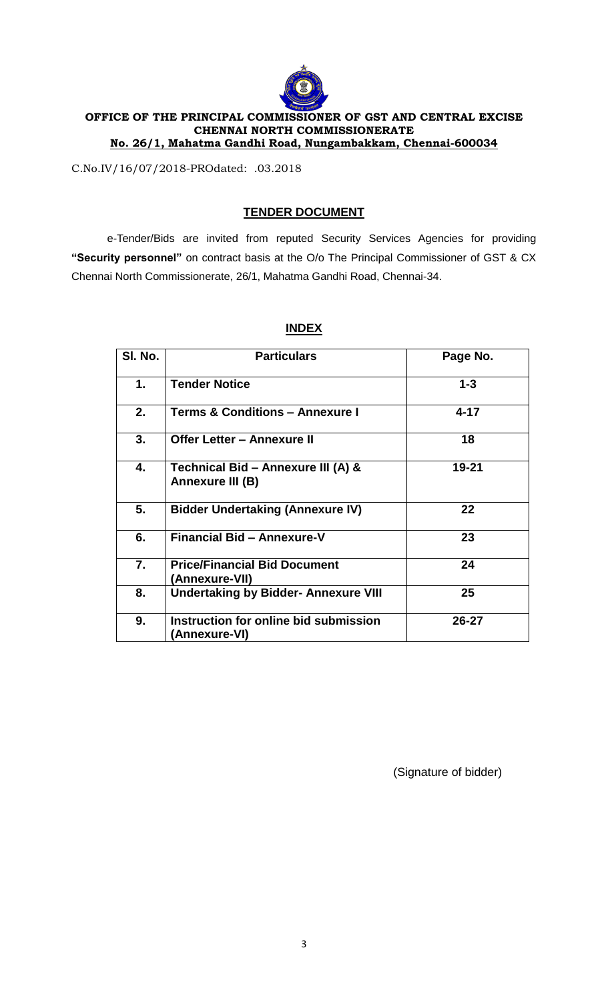

#### **OFFICE OF THE PRINCIPAL COMMISSIONER OF GST AND CENTRAL EXCISE CHENNAI NORTH COMMISSIONERATE No. 26/1, Mahatma Gandhi Road, Nungambakkam, Chennai-600034**

C.No.IV/16/07/2018-PROdated: .03.2018

## **TENDER DOCUMENT**

e-Tender/Bids are invited from reputed Security Services Agencies for providing **"Security personnel"** on contract basis at the O/o The Principal Commissioner of GST & CX Chennai North Commissionerate, 26/1, Mahatma Gandhi Road, Chennai-34.

| SI. No. | <b>Particulars</b>                                     | Page No. |
|---------|--------------------------------------------------------|----------|
| 1.      | <b>Tender Notice</b>                                   | $1 - 3$  |
| 2.      | <b>Terms &amp; Conditions - Annexure I</b>             | $4 - 17$ |
| 3.      | <b>Offer Letter - Annexure II</b>                      | 18       |
| 4.      | Technical Bid - Annexure III (A) &<br>Annexure III (B) | 19-21    |
| 5.      | <b>Bidder Undertaking (Annexure IV)</b>                | 22       |
| 6.      | <b>Financial Bid - Annexure-V</b>                      | 23       |
| 7.      | <b>Price/Financial Bid Document</b><br>(Annexure-VII)  | 24       |
| 8.      | <b>Undertaking by Bidder- Annexure VIII</b>            | 25       |
| 9.      | Instruction for online bid submission<br>(Annexure-VI) | 26-27    |

## **INDEX**

(Signature of bidder)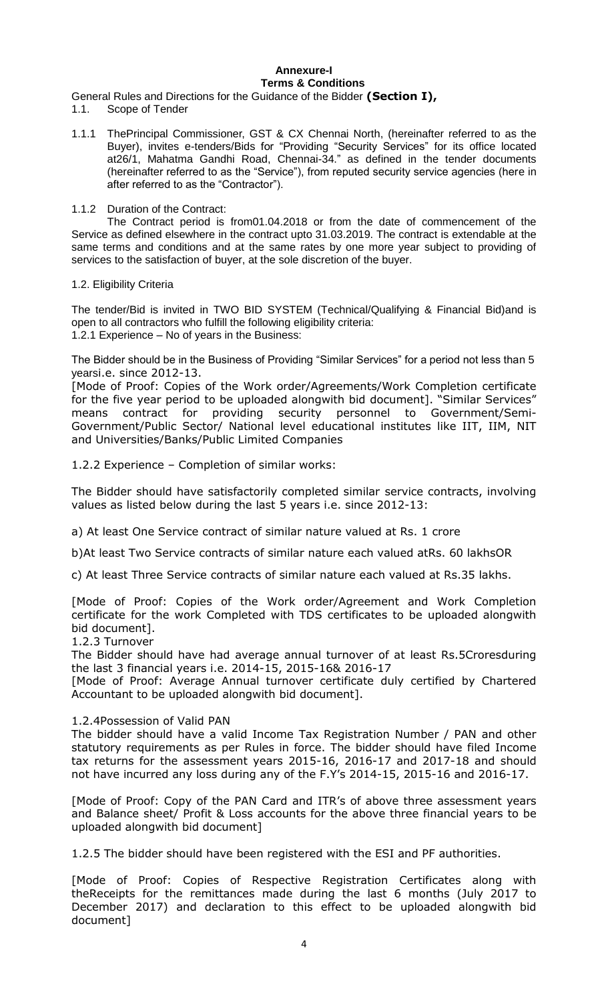#### **Annexure-I Terms & Conditions**

General Rules and Directions for the Guidance of the Bidder **(Section I),**

- 1.1. Scope of Tender
- 1.1.1 ThePrincipal Commissioner, GST & CX Chennai North, (hereinafter referred to as the Buyer), invites e-tenders/Bids for "Providing "Security Services" for its office located at26/1, Mahatma Gandhi Road, Chennai-34." as defined in the tender documents (hereinafter referred to as the "Service"), from reputed security service agencies (here in after referred to as the "Contractor").

#### 1.1.2 Duration of the Contract:

The Contract period is from01.04.2018 or from the date of commencement of the Service as defined elsewhere in the contract upto 31.03.2019. The contract is extendable at the same terms and conditions and at the same rates by one more year subject to providing of services to the satisfaction of buyer, at the sole discretion of the buyer.

#### 1.2. Eligibility Criteria

The tender/Bid is invited in TWO BID SYSTEM (Technical/Qualifying & Financial Bid)and is open to all contractors who fulfill the following eligibility criteria: 1.2.1 Experience – No of years in the Business:

The Bidder should be in the Business of Providing "Similar Services" for a period not less than 5 yearsi.e. since 2012-13.

[Mode of Proof: Copies of the Work order/Agreements/Work Completion certificate for the five year period to be uploaded alongwith bid document]. "Similar Services" means contract for providing security personnel to Government/Semi-Government/Public Sector/ National level educational institutes like IIT, IIM, NIT and Universities/Banks/Public Limited Companies

1.2.2 Experience – Completion of similar works:

The Bidder should have satisfactorily completed similar service contracts, involving values as listed below during the last 5 years i.e. since 2012-13:

a) At least One Service contract of similar nature valued at Rs. 1 crore

b)At least Two Service contracts of similar nature each valued atRs. 60 lakhsOR

c) At least Three Service contracts of similar nature each valued at Rs.35 lakhs.

[Mode of Proof: Copies of the Work order/Agreement and Work Completion certificate for the work Completed with TDS certificates to be uploaded alongwith bid document].

1.2.3 Turnover

The Bidder should have had average annual turnover of at least Rs.5Croresduring the last 3 financial years i.e. 2014-15, 2015-16& 2016-17

[Mode of Proof: Average Annual turnover certificate duly certified by Chartered Accountant to be uploaded alongwith bid document].

## 1.2.4Possession of Valid PAN

The bidder should have a valid Income Tax Registration Number / PAN and other statutory requirements as per Rules in force. The bidder should have filed Income tax returns for the assessment years 2015-16, 2016-17 and 2017-18 and should not have incurred any loss during any of the F.Y"s 2014-15, 2015-16 and 2016-17.

[Mode of Proof: Copy of the PAN Card and ITR"s of above three assessment years and Balance sheet/ Profit & Loss accounts for the above three financial years to be uploaded alongwith bid document]

1.2.5 The bidder should have been registered with the ESI and PF authorities.

[Mode of Proof: Copies of Respective Registration Certificates along with theReceipts for the remittances made during the last 6 months (July 2017 to December 2017) and declaration to this effect to be uploaded alongwith bid document]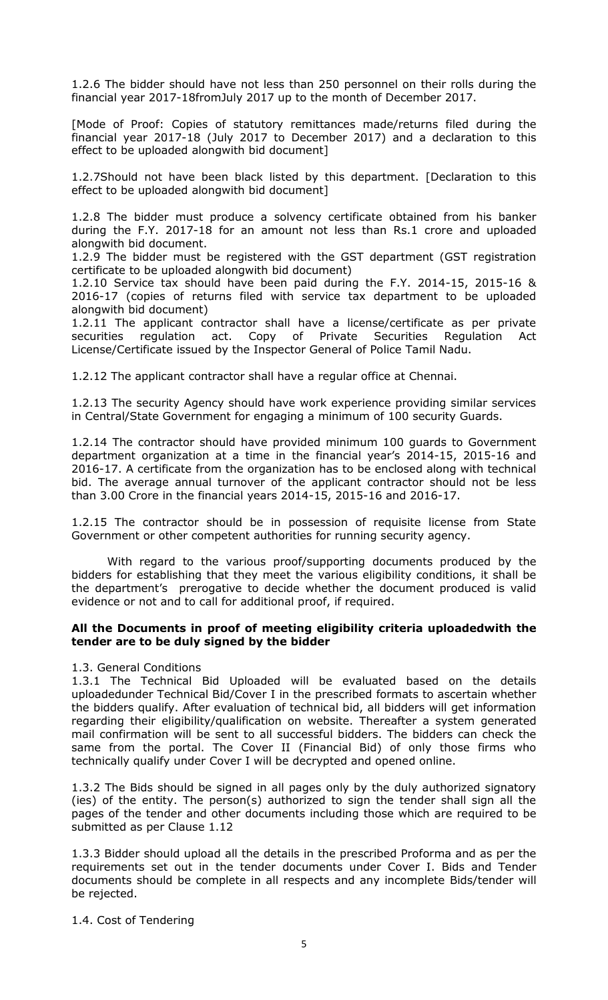1.2.6 The bidder should have not less than 250 personnel on their rolls during the financial year 2017-18fromJuly 2017 up to the month of December 2017.

[Mode of Proof: Copies of statutory remittances made/returns filed during the financial year 2017-18 (July 2017 to December 2017) and a declaration to this effect to be uploaded alongwith bid document]

1.2.7Should not have been black listed by this department. [Declaration to this effect to be uploaded alongwith bid document]

1.2.8 The bidder must produce a solvency certificate obtained from his banker during the F.Y. 2017-18 for an amount not less than Rs.1 crore and uploaded alongwith bid document.

1.2.9 The bidder must be registered with the GST department (GST registration certificate to be uploaded alongwith bid document)

1.2.10 Service tax should have been paid during the F.Y. 2014-15, 2015-16 & 2016-17 (copies of returns filed with service tax department to be uploaded alongwith bid document)

1.2.11 The applicant contractor shall have a license/certificate as per private securities regulation act. Copy of Private Securities Regulation Act License/Certificate issued by the Inspector General of Police Tamil Nadu.

1.2.12 The applicant contractor shall have a regular office at Chennai.

1.2.13 The security Agency should have work experience providing similar services in Central/State Government for engaging a minimum of 100 security Guards.

1.2.14 The contractor should have provided minimum 100 guards to Government department organization at a time in the financial year"s 2014-15, 2015-16 and 2016-17. A certificate from the organization has to be enclosed along with technical bid. The average annual turnover of the applicant contractor should not be less than 3.00 Crore in the financial years 2014-15, 2015-16 and 2016-17.

1.2.15 The contractor should be in possession of requisite license from State Government or other competent authorities for running security agency.

With regard to the various proof/supporting documents produced by the bidders for establishing that they meet the various eligibility conditions, it shall be the department"s prerogative to decide whether the document produced is valid evidence or not and to call for additional proof, if required.

#### **All the Documents in proof of meeting eligibility criteria uploadedwith the tender are to be duly signed by the bidder**

1.3. General Conditions

1.3.1 The Technical Bid Uploaded will be evaluated based on the details uploadedunder Technical Bid/Cover I in the prescribed formats to ascertain whether the bidders qualify. After evaluation of technical bid, all bidders will get information regarding their eligibility/qualification on website. Thereafter a system generated mail confirmation will be sent to all successful bidders. The bidders can check the same from the portal. The Cover II (Financial Bid) of only those firms who technically qualify under Cover I will be decrypted and opened online.

1.3.2 The Bids should be signed in all pages only by the duly authorized signatory (ies) of the entity. The person(s) authorized to sign the tender shall sign all the pages of the tender and other documents including those which are required to be submitted as per Clause 1.12

1.3.3 Bidder should upload all the details in the prescribed Proforma and as per the requirements set out in the tender documents under Cover I. Bids and Tender documents should be complete in all respects and any incomplete Bids/tender will be rejected.

1.4. Cost of Tendering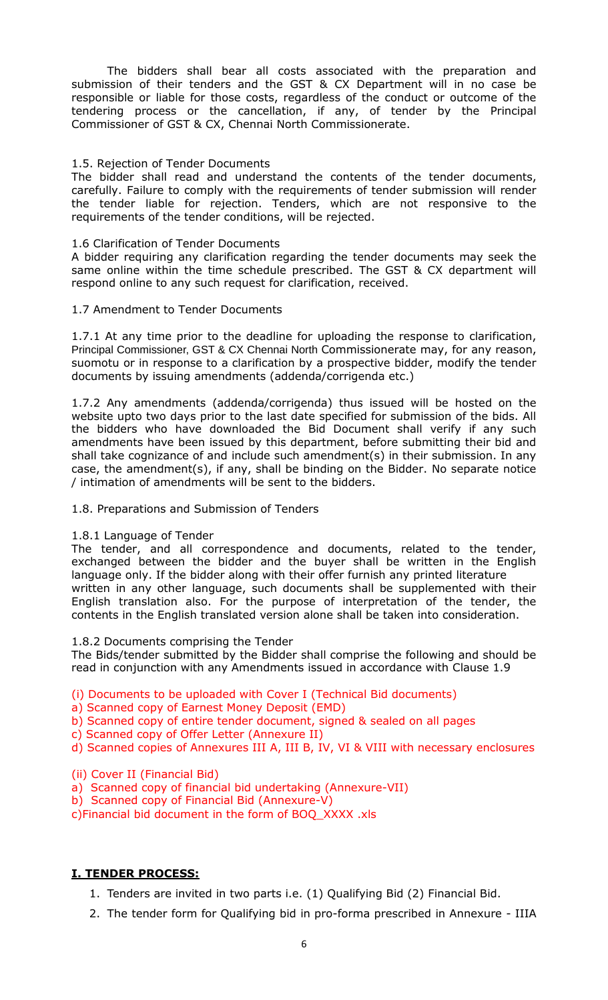The bidders shall bear all costs associated with the preparation and submission of their tenders and the GST & CX Department will in no case be responsible or liable for those costs, regardless of the conduct or outcome of the tendering process or the cancellation, if any, of tender by the Principal Commissioner of GST & CX, Chennai North Commissionerate.

## 1.5. Rejection of Tender Documents

The bidder shall read and understand the contents of the tender documents, carefully. Failure to comply with the requirements of tender submission will render the tender liable for rejection. Tenders, which are not responsive to the requirements of the tender conditions, will be rejected.

#### 1.6 Clarification of Tender Documents

A bidder requiring any clarification regarding the tender documents may seek the same online within the time schedule prescribed. The GST & CX department will respond online to any such request for clarification, received.

#### 1.7 Amendment to Tender Documents

1.7.1 At any time prior to the deadline for uploading the response to clarification, Principal Commissioner, GST & CX Chennai North Commissionerate may, for any reason, suomotu or in response to a clarification by a prospective bidder, modify the tender documents by issuing amendments (addenda/corrigenda etc.)

1.7.2 Any amendments (addenda/corrigenda) thus issued will be hosted on the website upto two days prior to the last date specified for submission of the bids. All the bidders who have downloaded the Bid Document shall verify if any such amendments have been issued by this department, before submitting their bid and shall take cognizance of and include such amendment(s) in their submission. In any case, the amendment(s), if any, shall be binding on the Bidder. No separate notice / intimation of amendments will be sent to the bidders.

## 1.8. Preparations and Submission of Tenders

#### 1.8.1 Language of Tender

The tender, and all correspondence and documents, related to the tender, exchanged between the bidder and the buyer shall be written in the English language only. If the bidder along with their offer furnish any printed literature written in any other language, such documents shall be supplemented with their English translation also. For the purpose of interpretation of the tender, the contents in the English translated version alone shall be taken into consideration.

1.8.2 Documents comprising the Tender

The Bids/tender submitted by the Bidder shall comprise the following and should be read in conjunction with any Amendments issued in accordance with Clause 1.9

(i) Documents to be uploaded with Cover I (Technical Bid documents)

a) Scanned copy of Earnest Money Deposit (EMD)

b) Scanned copy of entire tender document, signed & sealed on all pages

c) Scanned copy of Offer Letter (Annexure II)

d) Scanned copies of Annexures III A, III B, IV, VI & VIII with necessary enclosures

## (ii) Cover II (Financial Bid)

- a) Scanned copy of financial bid undertaking (Annexure-VII)
- b) Scanned copy of Financial Bid (Annexure-V)

c)Financial bid document in the form of BOQ\_XXXX .xls

## **I. TENDER PROCESS:**

- 1. Tenders are invited in two parts i.e. (1) Qualifying Bid (2) Financial Bid.
- 2. The tender form for Qualifying bid in pro-forma prescribed in Annexure IIIA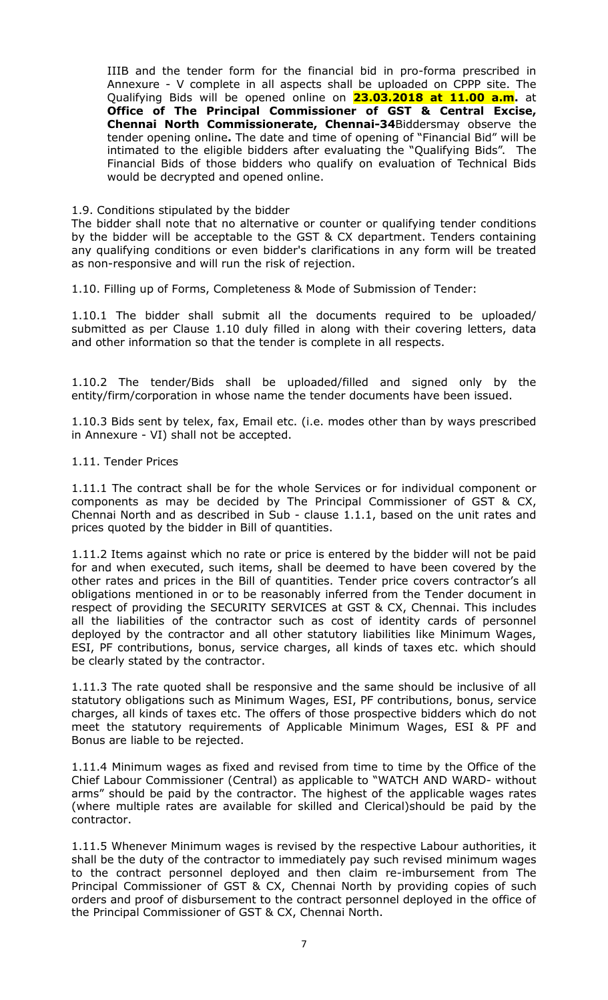IIIB and the tender form for the financial bid in pro-forma prescribed in Annexure - V complete in all aspects shall be uploaded on CPPP site. The Qualifying Bids will be opened online on **23.03.2018 at 11.00 a.m.** at **Office of The Principal Commissioner of GST & Central Excise, Chennai North Commissionerate, Chennai-34**Biddersmay observe the tender opening online**.** The date and time of opening of "Financial Bid" will be intimated to the eligible bidders after evaluating the "Qualifying Bids". The Financial Bids of those bidders who qualify on evaluation of Technical Bids would be decrypted and opened online.

#### 1.9. Conditions stipulated by the bidder

The bidder shall note that no alternative or counter or qualifying tender conditions by the bidder will be acceptable to the GST & CX department. Tenders containing any qualifying conditions or even bidder's clarifications in any form will be treated as non-responsive and will run the risk of rejection.

1.10. Filling up of Forms, Completeness & Mode of Submission of Tender:

1.10.1 The bidder shall submit all the documents required to be uploaded/ submitted as per Clause 1.10 duly filled in along with their covering letters, data and other information so that the tender is complete in all respects.

1.10.2 The tender/Bids shall be uploaded/filled and signed only by the entity/firm/corporation in whose name the tender documents have been issued.

1.10.3 Bids sent by telex, fax, Email etc. (i.e. modes other than by ways prescribed in Annexure - VI) shall not be accepted.

#### 1.11. Tender Prices

1.11.1 The contract shall be for the whole Services or for individual component or components as may be decided by The Principal Commissioner of GST & CX, Chennai North and as described in Sub - clause 1.1.1, based on the unit rates and prices quoted by the bidder in Bill of quantities.

1.11.2 Items against which no rate or price is entered by the bidder will not be paid for and when executed, such items, shall be deemed to have been covered by the other rates and prices in the Bill of quantities. Tender price covers contractor's all obligations mentioned in or to be reasonably inferred from the Tender document in respect of providing the SECURITY SERVICES at GST & CX, Chennai. This includes all the liabilities of the contractor such as cost of identity cards of personnel deployed by the contractor and all other statutory liabilities like Minimum Wages, ESI, PF contributions, bonus, service charges, all kinds of taxes etc. which should be clearly stated by the contractor.

1.11.3 The rate quoted shall be responsive and the same should be inclusive of all statutory obligations such as Minimum Wages, ESI, PF contributions, bonus, service charges, all kinds of taxes etc. The offers of those prospective bidders which do not meet the statutory requirements of Applicable Minimum Wages, ESI & PF and Bonus are liable to be rejected.

1.11.4 Minimum wages as fixed and revised from time to time by the Office of the Chief Labour Commissioner (Central) as applicable to "WATCH AND WARD- without arms" should be paid by the contractor. The highest of the applicable wages rates (where multiple rates are available for skilled and Clerical)should be paid by the contractor.

1.11.5 Whenever Minimum wages is revised by the respective Labour authorities, it shall be the duty of the contractor to immediately pay such revised minimum wages to the contract personnel deployed and then claim re-imbursement from The Principal Commissioner of GST & CX, Chennai North by providing copies of such orders and proof of disbursement to the contract personnel deployed in the office of the Principal Commissioner of GST & CX, Chennai North.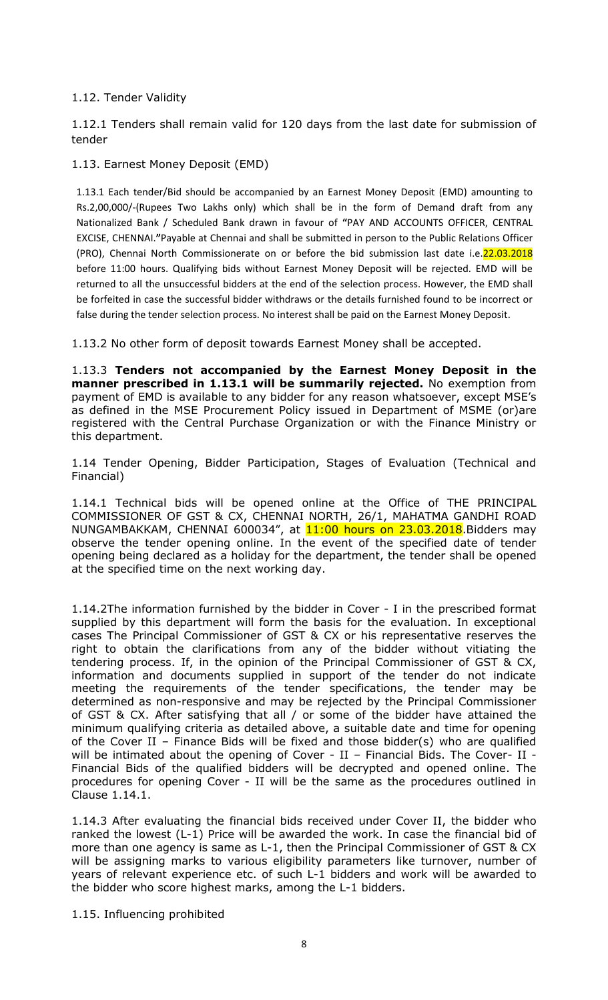## 1.12. Tender Validity

1.12.1 Tenders shall remain valid for 120 days from the last date for submission of tender

## 1.13. Earnest Money Deposit (EMD)

1.13.1 Each tender/Bid should be accompanied by an Earnest Money Deposit (EMD) amounting to Rs.2,00,000/-(Rupees Two Lakhs only) which shall be in the form of Demand draft from any Nationalized Bank / Scheduled Bank drawn in favour of **"**PAY AND ACCOUNTS OFFICER, CENTRAL EXCISE, CHENNAI.**"**Payable at Chennai and shall be submitted in person to the Public Relations Officer (PRO), Chennai North Commissionerate on or before the bid submission last date i.e.22.03.2018 before 11:00 hours. Qualifying bids without Earnest Money Deposit will be rejected. EMD will be returned to all the unsuccessful bidders at the end of the selection process. However, the EMD shall be forfeited in case the successful bidder withdraws or the details furnished found to be incorrect or false during the tender selection process. No interest shall be paid on the Earnest Money Deposit.

1.13.2 No other form of deposit towards Earnest Money shall be accepted.

1.13.3 **Tenders not accompanied by the Earnest Money Deposit in the manner prescribed in 1.13.1 will be summarily rejected.** No exemption from payment of EMD is available to any bidder for any reason whatsoever, except MSE"s as defined in the MSE Procurement Policy issued in Department of MSME (or)are registered with the Central Purchase Organization or with the Finance Ministry or this department.

1.14 Tender Opening, Bidder Participation, Stages of Evaluation (Technical and Financial)

1.14.1 Technical bids will be opened online at the Office of THE PRINCIPAL COMMISSIONER OF GST & CX, CHENNAI NORTH, 26/1, MAHATMA GANDHI ROAD NUNGAMBAKKAM, CHENNAI 600034", at 11:00 hours on 23.03.2018. Bidders may observe the tender opening online. In the event of the specified date of tender opening being declared as a holiday for the department, the tender shall be opened at the specified time on the next working day.

1.14.2The information furnished by the bidder in Cover - I in the prescribed format supplied by this department will form the basis for the evaluation. In exceptional cases The Principal Commissioner of GST & CX or his representative reserves the right to obtain the clarifications from any of the bidder without vitiating the tendering process. If, in the opinion of the Principal Commissioner of GST & CX, information and documents supplied in support of the tender do not indicate meeting the requirements of the tender specifications, the tender may be determined as non-responsive and may be rejected by the Principal Commissioner of GST & CX. After satisfying that all / or some of the bidder have attained the minimum qualifying criteria as detailed above, a suitable date and time for opening of the Cover II – Finance Bids will be fixed and those bidder(s) who are qualified will be intimated about the opening of Cover - II - Financial Bids. The Cover- II -Financial Bids of the qualified bidders will be decrypted and opened online. The procedures for opening Cover - II will be the same as the procedures outlined in Clause 1.14.1.

1.14.3 After evaluating the financial bids received under Cover II, the bidder who ranked the lowest (L-1) Price will be awarded the work. In case the financial bid of more than one agency is same as L-1, then the Principal Commissioner of GST & CX will be assigning marks to various eligibility parameters like turnover, number of years of relevant experience etc. of such L-1 bidders and work will be awarded to the bidder who score highest marks, among the L-1 bidders.

1.15. Influencing prohibited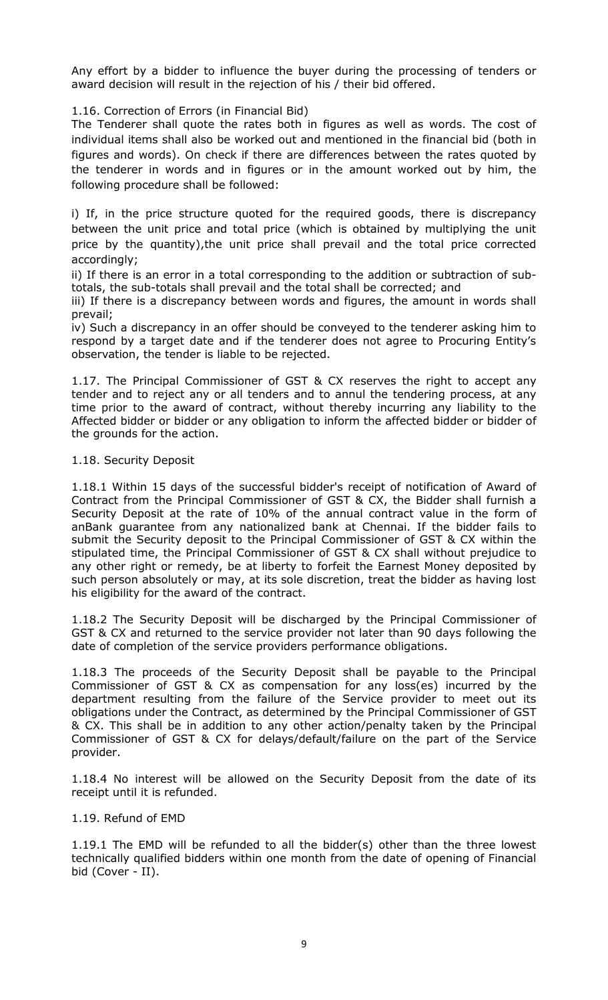Any effort by a bidder to influence the buyer during the processing of tenders or award decision will result in the rejection of his / their bid offered.

1.16. Correction of Errors (in Financial Bid)

The Tenderer shall quote the rates both in figures as well as words. The cost of individual items shall also be worked out and mentioned in the financial bid (both in figures and words). On check if there are differences between the rates quoted by the tenderer in words and in figures or in the amount worked out by him, the following procedure shall be followed:

i) If, in the price structure quoted for the required goods, there is discrepancy between the unit price and total price (which is obtained by multiplying the unit price by the quantity),the unit price shall prevail and the total price corrected accordingly;

ii) If there is an error in a total corresponding to the addition or subtraction of subtotals, the sub-totals shall prevail and the total shall be corrected; and

iii) If there is a discrepancy between words and figures, the amount in words shall prevail;

iv) Such a discrepancy in an offer should be conveyed to the tenderer asking him to respond by a target date and if the tenderer does not agree to Procuring Entity"s observation, the tender is liable to be rejected.

1.17. The Principal Commissioner of GST & CX reserves the right to accept any tender and to reject any or all tenders and to annul the tendering process, at any time prior to the award of contract, without thereby incurring any liability to the Affected bidder or bidder or any obligation to inform the affected bidder or bidder of the grounds for the action.

## 1.18. Security Deposit

1.18.1 Within 15 days of the successful bidder's receipt of notification of Award of Contract from the Principal Commissioner of GST & CX, the Bidder shall furnish a Security Deposit at the rate of 10% of the annual contract value in the form of anBank guarantee from any nationalized bank at Chennai. If the bidder fails to submit the Security deposit to the Principal Commissioner of GST & CX within the stipulated time, the Principal Commissioner of GST & CX shall without prejudice to any other right or remedy, be at liberty to forfeit the Earnest Money deposited by such person absolutely or may, at its sole discretion, treat the bidder as having lost his eligibility for the award of the contract.

1.18.2 The Security Deposit will be discharged by the Principal Commissioner of GST & CX and returned to the service provider not later than 90 days following the date of completion of the service providers performance obligations.

1.18.3 The proceeds of the Security Deposit shall be payable to the Principal Commissioner of GST & CX as compensation for any loss(es) incurred by the department resulting from the failure of the Service provider to meet out its obligations under the Contract, as determined by the Principal Commissioner of GST & CX. This shall be in addition to any other action/penalty taken by the Principal Commissioner of GST & CX for delays/default/failure on the part of the Service provider.

1.18.4 No interest will be allowed on the Security Deposit from the date of its receipt until it is refunded.

#### 1.19. Refund of EMD

1.19.1 The EMD will be refunded to all the bidder(s) other than the three lowest technically qualified bidders within one month from the date of opening of Financial bid (Cover - II).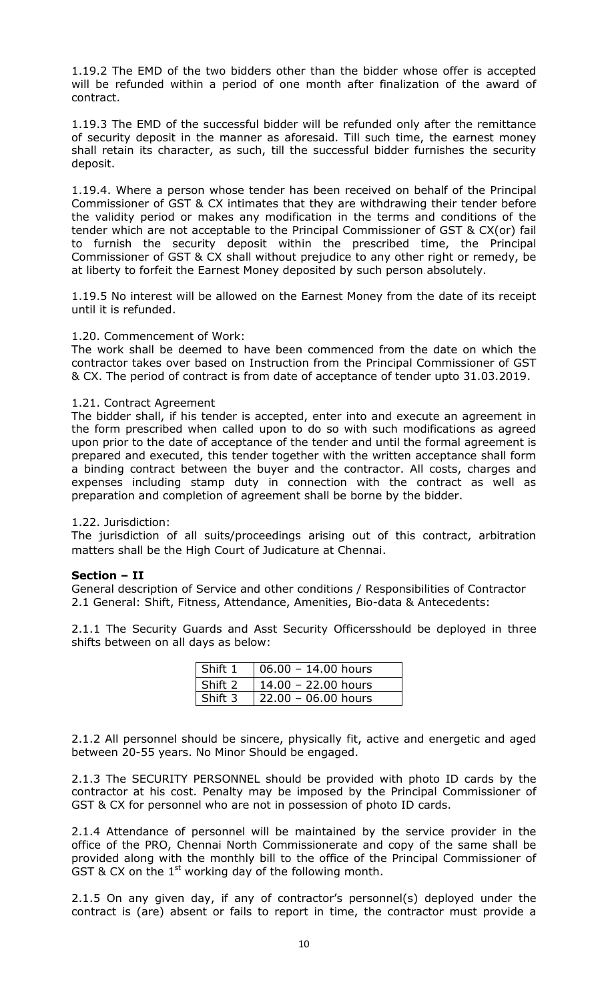1.19.2 The EMD of the two bidders other than the bidder whose offer is accepted will be refunded within a period of one month after finalization of the award of contract.

1.19.3 The EMD of the successful bidder will be refunded only after the remittance of security deposit in the manner as aforesaid. Till such time, the earnest money shall retain its character, as such, till the successful bidder furnishes the security deposit.

1.19.4. Where a person whose tender has been received on behalf of the Principal Commissioner of GST & CX intimates that they are withdrawing their tender before the validity period or makes any modification in the terms and conditions of the tender which are not acceptable to the Principal Commissioner of GST & CX(or) fail to furnish the security deposit within the prescribed time, the Principal Commissioner of GST & CX shall without prejudice to any other right or remedy, be at liberty to forfeit the Earnest Money deposited by such person absolutely.

1.19.5 No interest will be allowed on the Earnest Money from the date of its receipt until it is refunded.

## 1.20. Commencement of Work:

The work shall be deemed to have been commenced from the date on which the contractor takes over based on Instruction from the Principal Commissioner of GST & CX. The period of contract is from date of acceptance of tender upto 31.03.2019.

#### 1.21. Contract Agreement

The bidder shall, if his tender is accepted, enter into and execute an agreement in the form prescribed when called upon to do so with such modifications as agreed upon prior to the date of acceptance of the tender and until the formal agreement is prepared and executed, this tender together with the written acceptance shall form a binding contract between the buyer and the contractor. All costs, charges and expenses including stamp duty in connection with the contract as well as preparation and completion of agreement shall be borne by the bidder.

## 1.22. Jurisdiction:

The jurisdiction of all suits/proceedings arising out of this contract, arbitration matters shall be the High Court of Judicature at Chennai.

#### **Section – II**

General description of Service and other conditions / Responsibilities of Contractor 2.1 General: Shift, Fitness, Attendance, Amenities, Bio-data & Antecedents:

2.1.1 The Security Guards and Asst Security Officersshould be deployed in three shifts between on all days as below:

| Shift 1 | $106.00 - 14.00$ hours |
|---------|------------------------|
| Shift 2 | 14.00 - 22.00 hours    |
| Shift 3 | $22.00 - 06.00$ hours  |

2.1.2 All personnel should be sincere, physically fit, active and energetic and aged between 20-55 years. No Minor Should be engaged.

2.1.3 The SECURITY PERSONNEL should be provided with photo ID cards by the contractor at his cost. Penalty may be imposed by the Principal Commissioner of GST & CX for personnel who are not in possession of photo ID cards.

2.1.4 Attendance of personnel will be maintained by the service provider in the office of the PRO, Chennai North Commissionerate and copy of the same shall be provided along with the monthly bill to the office of the Principal Commissioner of GST & CX on the  $1<sup>st</sup>$  working day of the following month.

2.1.5 On any given day, if any of contractor's personnel(s) deployed under the contract is (are) absent or fails to report in time, the contractor must provide a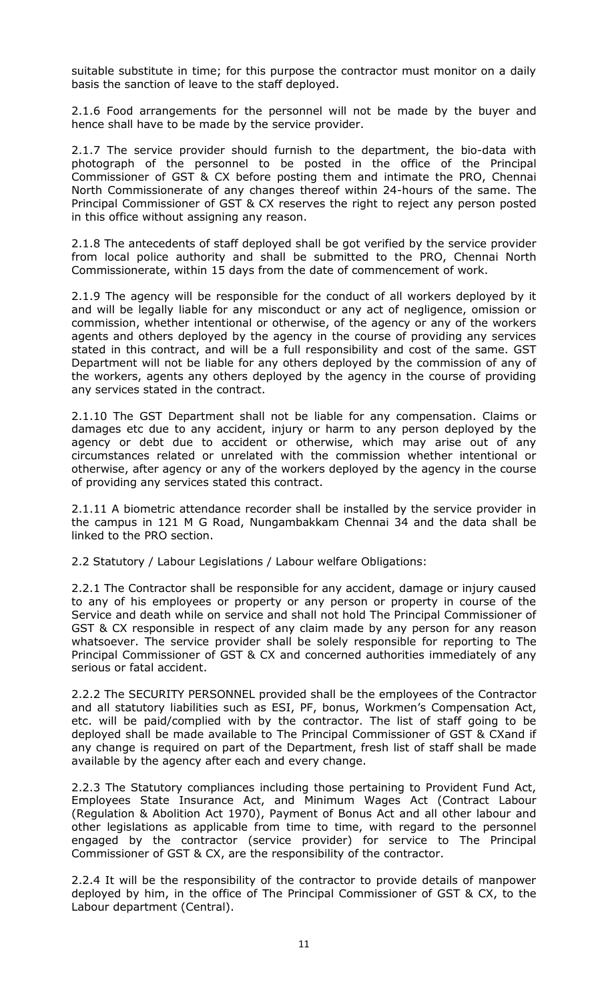suitable substitute in time; for this purpose the contractor must monitor on a daily basis the sanction of leave to the staff deployed.

2.1.6 Food arrangements for the personnel will not be made by the buyer and hence shall have to be made by the service provider.

2.1.7 The service provider should furnish to the department, the bio-data with photograph of the personnel to be posted in the office of the Principal Commissioner of GST & CX before posting them and intimate the PRO, Chennai North Commissionerate of any changes thereof within 24-hours of the same. The Principal Commissioner of GST & CX reserves the right to reject any person posted in this office without assigning any reason.

2.1.8 The antecedents of staff deployed shall be got verified by the service provider from local police authority and shall be submitted to the PRO, Chennai North Commissionerate, within 15 days from the date of commencement of work.

2.1.9 The agency will be responsible for the conduct of all workers deployed by it and will be legally liable for any misconduct or any act of negligence, omission or commission, whether intentional or otherwise, of the agency or any of the workers agents and others deployed by the agency in the course of providing any services stated in this contract, and will be a full responsibility and cost of the same. GST Department will not be liable for any others deployed by the commission of any of the workers, agents any others deployed by the agency in the course of providing any services stated in the contract.

2.1.10 The GST Department shall not be liable for any compensation. Claims or damages etc due to any accident, injury or harm to any person deployed by the agency or debt due to accident or otherwise, which may arise out of any circumstances related or unrelated with the commission whether intentional or otherwise, after agency or any of the workers deployed by the agency in the course of providing any services stated this contract.

2.1.11 A biometric attendance recorder shall be installed by the service provider in the campus in 121 M G Road, Nungambakkam Chennai 34 and the data shall be linked to the PRO section.

2.2 Statutory / Labour Legislations / Labour welfare Obligations:

2.2.1 The Contractor shall be responsible for any accident, damage or injury caused to any of his employees or property or any person or property in course of the Service and death while on service and shall not hold The Principal Commissioner of GST & CX responsible in respect of any claim made by any person for any reason whatsoever. The service provider shall be solely responsible for reporting to The Principal Commissioner of GST & CX and concerned authorities immediately of any serious or fatal accident.

2.2.2 The SECURITY PERSONNEL provided shall be the employees of the Contractor and all statutory liabilities such as ESI, PF, bonus, Workmen's Compensation Act, etc. will be paid/complied with by the contractor. The list of staff going to be deployed shall be made available to The Principal Commissioner of GST & CXand if any change is required on part of the Department, fresh list of staff shall be made available by the agency after each and every change.

2.2.3 The Statutory compliances including those pertaining to Provident Fund Act, Employees State Insurance Act, and Minimum Wages Act (Contract Labour (Regulation & Abolition Act 1970), Payment of Bonus Act and all other labour and other legislations as applicable from time to time, with regard to the personnel engaged by the contractor (service provider) for service to The Principal Commissioner of GST & CX, are the responsibility of the contractor.

2.2.4 It will be the responsibility of the contractor to provide details of manpower deployed by him, in the office of The Principal Commissioner of GST & CX, to the Labour department (Central).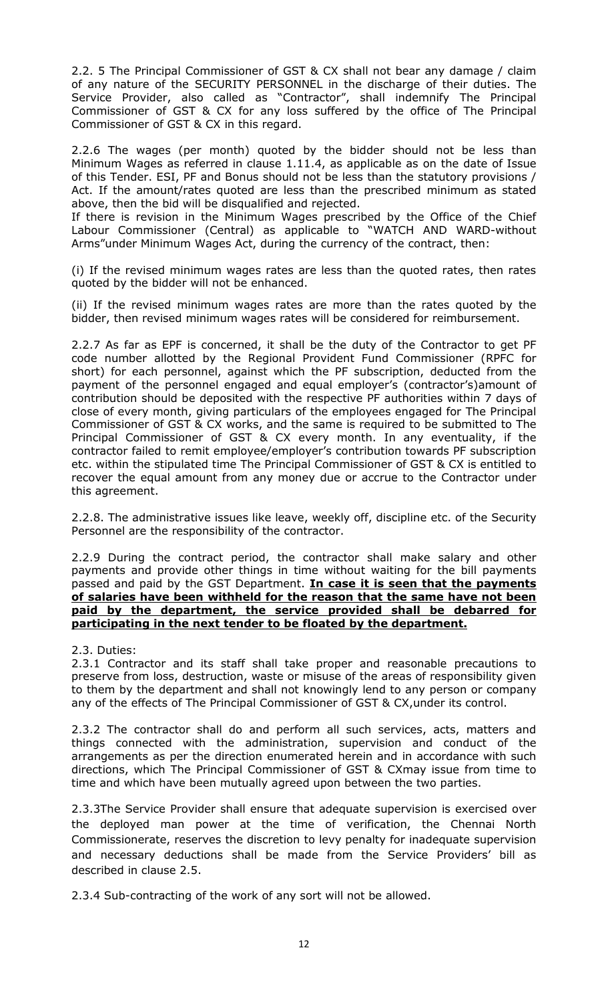2.2. 5 The Principal Commissioner of GST & CX shall not bear any damage / claim of any nature of the SECURITY PERSONNEL in the discharge of their duties. The Service Provider, also called as "Contractor", shall indemnify The Principal Commissioner of GST & CX for any loss suffered by the office of The Principal Commissioner of GST & CX in this regard.

2.2.6 The wages (per month) quoted by the bidder should not be less than Minimum Wages as referred in clause 1.11.4, as applicable as on the date of Issue of this Tender. ESI, PF and Bonus should not be less than the statutory provisions / Act. If the amount/rates quoted are less than the prescribed minimum as stated above, then the bid will be disqualified and rejected.

If there is revision in the Minimum Wages prescribed by the Office of the Chief Labour Commissioner (Central) as applicable to "WATCH AND WARD-without Arms"under Minimum Wages Act, during the currency of the contract, then:

(i) If the revised minimum wages rates are less than the quoted rates, then rates quoted by the bidder will not be enhanced.

(ii) If the revised minimum wages rates are more than the rates quoted by the bidder, then revised minimum wages rates will be considered for reimbursement.

2.2.7 As far as EPF is concerned, it shall be the duty of the Contractor to get PF code number allotted by the Regional Provident Fund Commissioner (RPFC for short) for each personnel, against which the PF subscription, deducted from the payment of the personnel engaged and equal employer's (contractor's)amount of contribution should be deposited with the respective PF authorities within 7 days of close of every month, giving particulars of the employees engaged for The Principal Commissioner of GST & CX works, and the same is required to be submitted to The Principal Commissioner of GST & CX every month. In any eventuality, if the contractor failed to remit employee/employer"s contribution towards PF subscription etc. within the stipulated time The Principal Commissioner of GST & CX is entitled to recover the equal amount from any money due or accrue to the Contractor under this agreement.

2.2.8. The administrative issues like leave, weekly off, discipline etc. of the Security Personnel are the responsibility of the contractor.

2.2.9 During the contract period, the contractor shall make salary and other payments and provide other things in time without waiting for the bill payments passed and paid by the GST Department. **In case it is seen that the payments of salaries have been withheld for the reason that the same have not been paid by the department, the service provided shall be debarred for participating in the next tender to be floated by the department.**

2.3. Duties:

2.3.1 Contractor and its staff shall take proper and reasonable precautions to preserve from loss, destruction, waste or misuse of the areas of responsibility given to them by the department and shall not knowingly lend to any person or company any of the effects of The Principal Commissioner of GST & CX,under its control.

2.3.2 The contractor shall do and perform all such services, acts, matters and things connected with the administration, supervision and conduct of the arrangements as per the direction enumerated herein and in accordance with such directions, which The Principal Commissioner of GST & CXmay issue from time to time and which have been mutually agreed upon between the two parties.

2.3.3The Service Provider shall ensure that adequate supervision is exercised over the deployed man power at the time of verification, the Chennai North Commissionerate, reserves the discretion to levy penalty for inadequate supervision and necessary deductions shall be made from the Service Providers' bill as described in clause 2.5.

2.3.4 Sub-contracting of the work of any sort will not be allowed.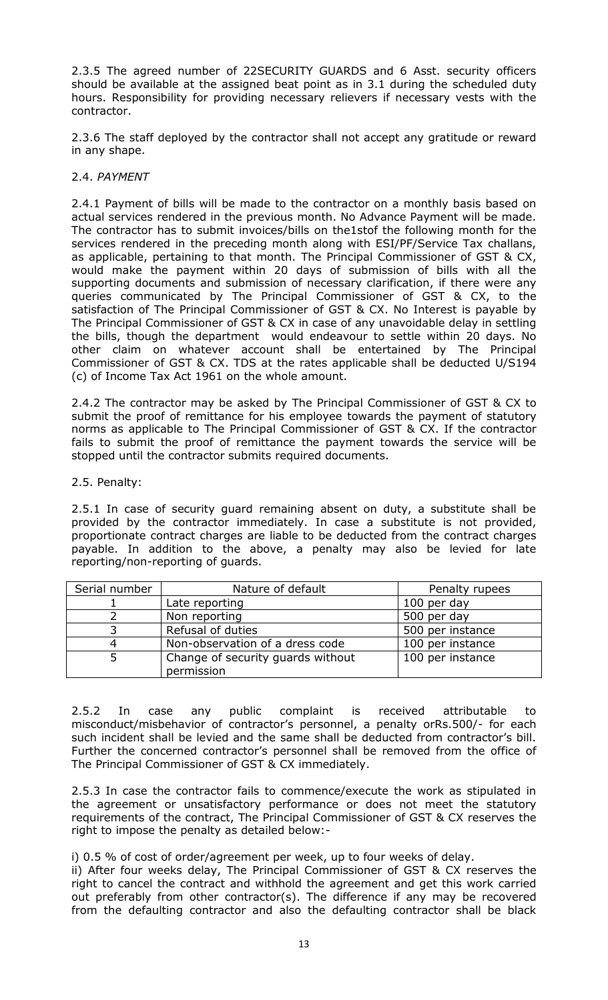2.3.5 The agreed number of 22SECURITY GUARDS and 6 Asst. security officers should be available at the assigned beat point as in 3.1 during the scheduled duty hours. Responsibility for providing necessary relievers if necessary vests with the contractor.

2.3.6 The staff deployed by the contractor shall not accept any gratitude or reward in any shape.

## 2.4. *PAYMENT*

2.4.1 Payment of bills will be made to the contractor on a monthly basis based on actual services rendered in the previous month. No Advance Payment will be made. The contractor has to submit invoices/bills on the1stof the following month for the services rendered in the preceding month along with ESI/PF/Service Tax challans, as applicable, pertaining to that month. The Principal Commissioner of GST & CX, would make the payment within 20 days of submission of bills with all the supporting documents and submission of necessary clarification, if there were any queries communicated by The Principal Commissioner of GST & CX, to the satisfaction of The Principal Commissioner of GST & CX. No Interest is payable by The Principal Commissioner of GST & CX in case of any unavoidable delay in settling the bills, though the department would endeavour to settle within 20 days. No other claim on whatever account shall be entertained by The Principal Commissioner of GST & CX. TDS at the rates applicable shall be deducted U/S194 (c) of Income Tax Act 1961 on the whole amount.

2.4.2 The contractor may be asked by The Principal Commissioner of GST & CX to submit the proof of remittance for his employee towards the payment of statutory norms as applicable to The Principal Commissioner of GST & CX. If the contractor fails to submit the proof of remittance the payment towards the service will be stopped until the contractor submits required documents.

## 2.5. Penalty:

2.5.1 In case of security guard remaining absent on duty, a substitute shall be provided by the contractor immediately. In case a substitute is not provided, proportionate contract charges are liable to be deducted from the contract charges payable. In addition to the above, a penalty may also be levied for late reporting/non-reporting of guards.

| Serial number | Nature of default                 | Penalty rupees   |
|---------------|-----------------------------------|------------------|
|               | Late reporting                    | 100 per day      |
|               | Non reporting                     | 500 per day      |
|               | Refusal of duties                 | 500 per instance |
|               | Non-observation of a dress code   | 100 per instance |
|               | Change of security guards without | 100 per instance |
|               | permission                        |                  |

2.5.2 In case any public complaint is received attributable to misconduct/misbehavior of contractor's personnel, a penalty orRs.500/- for each such incident shall be levied and the same shall be deducted from contractor's bill. Further the concerned contractor's personnel shall be removed from the office of The Principal Commissioner of GST & CX immediately.

2.5.3 In case the contractor fails to commence/execute the work as stipulated in the agreement or unsatisfactory performance or does not meet the statutory requirements of the contract, The Principal Commissioner of GST & CX reserves the right to impose the penalty as detailed below:-

i) 0.5 % of cost of order/agreement per week, up to four weeks of delay.

ii) After four weeks delay, The Principal Commissioner of GST & CX reserves the right to cancel the contract and withhold the agreement and get this work carried out preferably from other contractor(s). The difference if any may be recovered from the defaulting contractor and also the defaulting contractor shall be black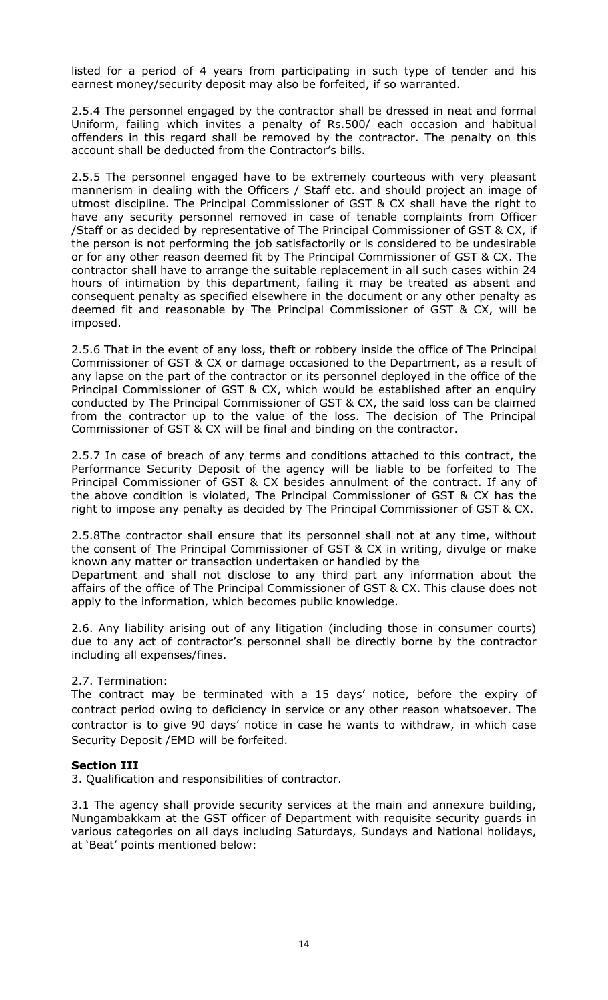listed for a period of 4 years from participating in such type of tender and his earnest money/security deposit may also be forfeited, if so warranted.

2.5.4 The personnel engaged by the contractor shall be dressed in neat and formal Uniform, failing which invites a penalty of Rs.500/ each occasion and habitual offenders in this regard shall be removed by the contractor. The penalty on this account shall be deducted from the Contractor's bills.

2.5.5 The personnel engaged have to be extremely courteous with very pleasant mannerism in dealing with the Officers / Staff etc. and should project an image of utmost discipline. The Principal Commissioner of GST & CX shall have the right to have any security personnel removed in case of tenable complaints from Officer /Staff or as decided by representative of The Principal Commissioner of GST & CX, if the person is not performing the job satisfactorily or is considered to be undesirable or for any other reason deemed fit by The Principal Commissioner of GST & CX. The contractor shall have to arrange the suitable replacement in all such cases within 24 hours of intimation by this department, failing it may be treated as absent and consequent penalty as specified elsewhere in the document or any other penalty as deemed fit and reasonable by The Principal Commissioner of GST & CX, will be imposed.

2.5.6 That in the event of any loss, theft or robbery inside the office of The Principal Commissioner of GST & CX or damage occasioned to the Department, as a result of any lapse on the part of the contractor or its personnel deployed in the office of the Principal Commissioner of GST & CX, which would be established after an enquiry conducted by The Principal Commissioner of GST & CX, the said loss can be claimed from the contractor up to the value of the loss. The decision of The Principal Commissioner of GST & CX will be final and binding on the contractor.

2.5.7 In case of breach of any terms and conditions attached to this contract, the Performance Security Deposit of the agency will be liable to be forfeited to The Principal Commissioner of GST & CX besides annulment of the contract. If any of the above condition is violated, The Principal Commissioner of GST & CX has the right to impose any penalty as decided by The Principal Commissioner of GST & CX.

2.5.8The contractor shall ensure that its personnel shall not at any time, without the consent of The Principal Commissioner of GST & CX in writing, divulge or make known any matter or transaction undertaken or handled by the

Department and shall not disclose to any third part any information about the affairs of the office of The Principal Commissioner of GST & CX. This clause does not apply to the information, which becomes public knowledge.

2.6. Any liability arising out of any litigation (including those in consumer courts) due to any act of contractor's personnel shall be directly borne by the contractor including all expenses/fines.

## 2.7. Termination:

The contract may be terminated with a 15 days' notice, before the expiry of contract period owing to deficiency in service or any other reason whatsoever. The contractor is to give 90 days" notice in case he wants to withdraw, in which case Security Deposit /EMD will be forfeited.

## **Section III**

3. Qualification and responsibilities of contractor.

3.1 The agency shall provide security services at the main and annexure building, Nungambakkam at the GST officer of Department with requisite security guards in various categories on all days including Saturdays, Sundays and National holidays, at "Beat" points mentioned below: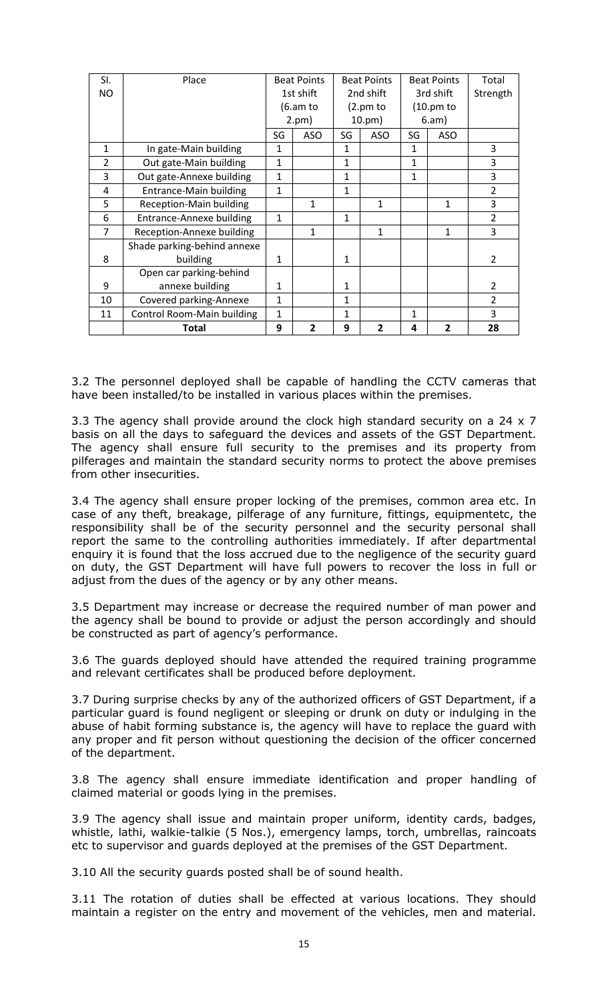| SI.            | Place                             |              | <b>Beat Points</b> |              | <b>Beat Points</b> |              | <b>Beat Points</b> | Total          |
|----------------|-----------------------------------|--------------|--------------------|--------------|--------------------|--------------|--------------------|----------------|
| NO.            |                                   | 1st shift    |                    |              | 2nd shift          |              | 3rd shift          | Strength       |
|                |                                   |              | (6.am to           |              | (2.pm to           |              | $(10.$ pm to       |                |
|                |                                   |              | 2.pm)              |              | $10. \text{pm}$ )  |              | 6.am)              |                |
|                |                                   | SG           | <b>ASO</b>         | SG           | <b>ASO</b>         | SG           | <b>ASO</b>         |                |
| $\mathbf{1}$   | In gate-Main building             | 1            |                    | 1            |                    | 1            |                    | 3              |
| $\overline{2}$ | Out gate-Main building            | $\mathbf{1}$ |                    | $\mathbf{1}$ |                    | $\mathbf{1}$ |                    | 3              |
| 3              | Out gate-Annexe building          | $\mathbf{1}$ |                    | $\mathbf{1}$ |                    | $\mathbf{1}$ |                    | 3              |
| $\overline{a}$ | <b>Entrance-Main building</b>     | $\mathbf{1}$ |                    | 1            |                    |              |                    | $\overline{2}$ |
| 5              | <b>Reception-Main building</b>    |              | 1                  |              | 1                  |              | 1                  | 3              |
| 6              | <b>Entrance-Annexe building</b>   | $\mathbf{1}$ |                    | 1            |                    |              |                    | $\overline{2}$ |
| 7              | Reception-Annexe building         |              | 1                  |              | 1                  |              | 1                  | 3              |
|                | Shade parking-behind annexe       |              |                    |              |                    |              |                    |                |
| 8              | building                          | 1            |                    | $\mathbf{1}$ |                    |              |                    | $\overline{2}$ |
|                | Open car parking-behind           |              |                    |              |                    |              |                    |                |
| 9              | annexe building                   | 1            |                    | $\mathbf{1}$ |                    |              |                    | $\overline{2}$ |
| 10             | Covered parking-Annexe            | 1            |                    | $\mathbf{1}$ |                    |              |                    | $\overline{2}$ |
| 11             | <b>Control Room-Main building</b> | 1            |                    | 1            |                    | 1            |                    | 3              |
|                | <b>Total</b>                      | 9            | $\overline{2}$     | 9            | $\overline{2}$     | 4            | $\overline{2}$     | 28             |

3.2 The personnel deployed shall be capable of handling the CCTV cameras that have been installed/to be installed in various places within the premises.

3.3 The agency shall provide around the clock high standard security on a 24 x 7 basis on all the days to safeguard the devices and assets of the GST Department. The agency shall ensure full security to the premises and its property from pilferages and maintain the standard security norms to protect the above premises from other insecurities.

3.4 The agency shall ensure proper locking of the premises, common area etc. In case of any theft, breakage, pilferage of any furniture, fittings, equipmentetc, the responsibility shall be of the security personnel and the security personal shall report the same to the controlling authorities immediately. If after departmental enquiry it is found that the loss accrued due to the negligence of the security guard on duty, the GST Department will have full powers to recover the loss in full or adjust from the dues of the agency or by any other means.

3.5 Department may increase or decrease the required number of man power and the agency shall be bound to provide or adjust the person accordingly and should be constructed as part of agency's performance.

3.6 The guards deployed should have attended the required training programme and relevant certificates shall be produced before deployment.

3.7 During surprise checks by any of the authorized officers of GST Department, if a particular guard is found negligent or sleeping or drunk on duty or indulging in the abuse of habit forming substance is, the agency will have to replace the guard with any proper and fit person without questioning the decision of the officer concerned of the department.

3.8 The agency shall ensure immediate identification and proper handling of claimed material or goods lying in the premises.

3.9 The agency shall issue and maintain proper uniform, identity cards, badges, whistle, lathi, walkie-talkie (5 Nos.), emergency lamps, torch, umbrellas, raincoats etc to supervisor and guards deployed at the premises of the GST Department.

3.10 All the security guards posted shall be of sound health.

3.11 The rotation of duties shall be effected at various locations. They should maintain a register on the entry and movement of the vehicles, men and material.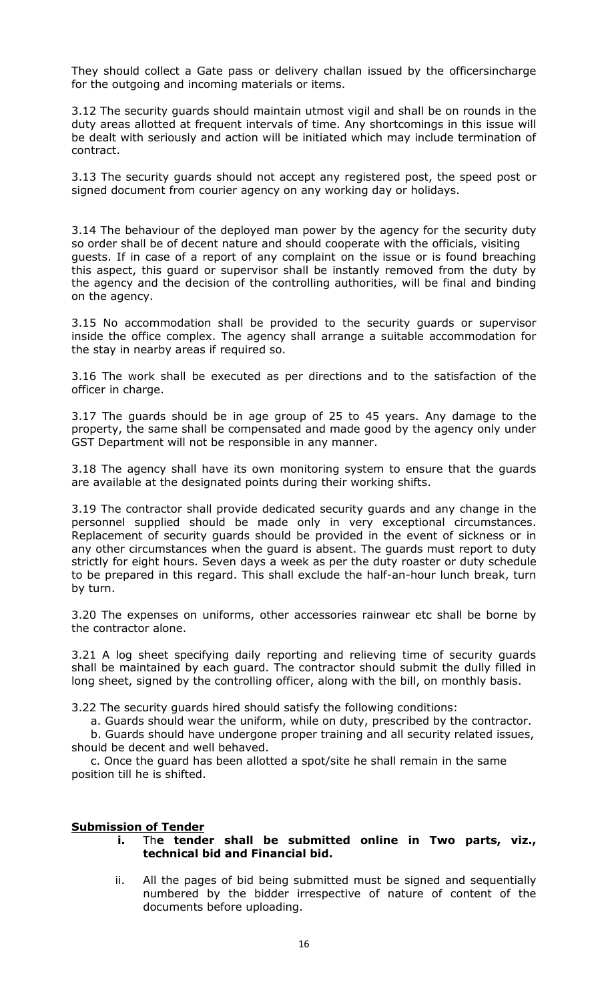They should collect a Gate pass or delivery challan issued by the officersincharge for the outgoing and incoming materials or items.

3.12 The security guards should maintain utmost vigil and shall be on rounds in the duty areas allotted at frequent intervals of time. Any shortcomings in this issue will be dealt with seriously and action will be initiated which may include termination of contract.

3.13 The security guards should not accept any registered post, the speed post or signed document from courier agency on any working day or holidays.

3.14 The behaviour of the deployed man power by the agency for the security duty so order shall be of decent nature and should cooperate with the officials, visiting guests. If in case of a report of any complaint on the issue or is found breaching this aspect, this guard or supervisor shall be instantly removed from the duty by the agency and the decision of the controlling authorities, will be final and binding on the agency.

3.15 No accommodation shall be provided to the security guards or supervisor inside the office complex. The agency shall arrange a suitable accommodation for the stay in nearby areas if required so.

3.16 The work shall be executed as per directions and to the satisfaction of the officer in charge.

3.17 The guards should be in age group of 25 to 45 years. Any damage to the property, the same shall be compensated and made good by the agency only under GST Department will not be responsible in any manner.

3.18 The agency shall have its own monitoring system to ensure that the guards are available at the designated points during their working shifts.

3.19 The contractor shall provide dedicated security guards and any change in the personnel supplied should be made only in very exceptional circumstances. Replacement of security guards should be provided in the event of sickness or in any other circumstances when the guard is absent. The guards must report to duty strictly for eight hours. Seven days a week as per the duty roaster or duty schedule to be prepared in this regard. This shall exclude the half-an-hour lunch break, turn by turn.

3.20 The expenses on uniforms, other accessories rainwear etc shall be borne by the contractor alone.

3.21 A log sheet specifying daily reporting and relieving time of security guards shall be maintained by each guard. The contractor should submit the dully filled in long sheet, signed by the controlling officer, along with the bill, on monthly basis.

3.22 The security guards hired should satisfy the following conditions:

a. Guards should wear the uniform, while on duty, prescribed by the contractor.

 b. Guards should have undergone proper training and all security related issues, should be decent and well behaved.

 c. Once the guard has been allotted a spot/site he shall remain in the same position till he is shifted.

## **Submission of Tender**

## **i.** Th**e tender shall be submitted online in Two parts, viz., technical bid and Financial bid.**

ii. All the pages of bid being submitted must be signed and sequentially numbered by the bidder irrespective of nature of content of the documents before uploading.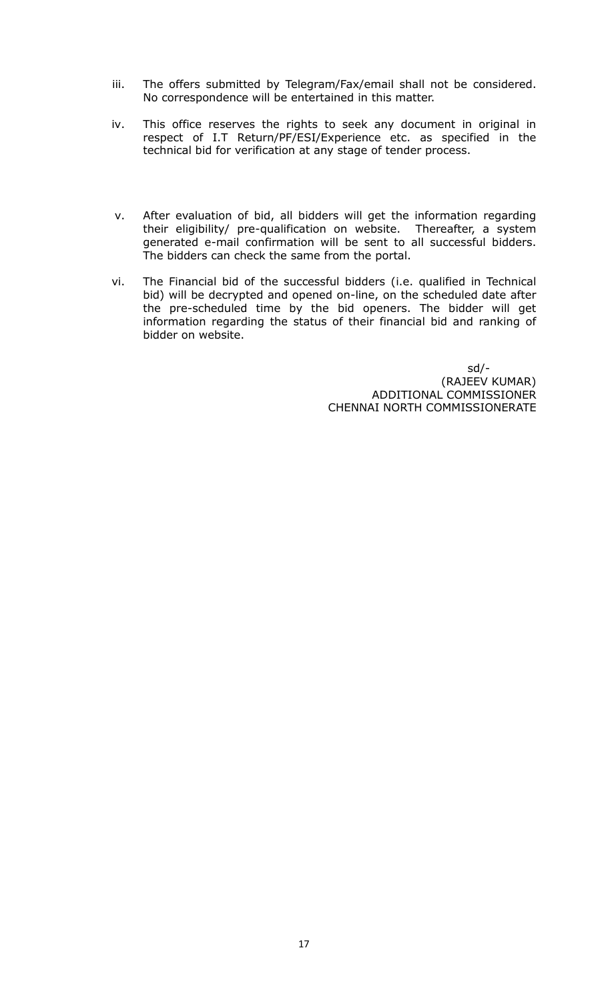- iii. The offers submitted by Telegram/Fax/email shall not be considered. No correspondence will be entertained in this matter.
- iv. This office reserves the rights to seek any document in original in respect of I.T Return/PF/ESI/Experience etc. as specified in the technical bid for verification at any stage of tender process.
- v. After evaluation of bid, all bidders will get the information regarding their eligibility/ pre-qualification on website. Thereafter, a system generated e-mail confirmation will be sent to all successful bidders. The bidders can check the same from the portal.
- vi. The Financial bid of the successful bidders (i.e. qualified in Technical bid) will be decrypted and opened on-line, on the scheduled date after the pre-scheduled time by the bid openers. The bidder will get information regarding the status of their financial bid and ranking of bidder on website.

 sd/- (RAJEEV KUMAR) ADDITIONAL COMMISSIONER CHENNAI NORTH COMMISSIONERATE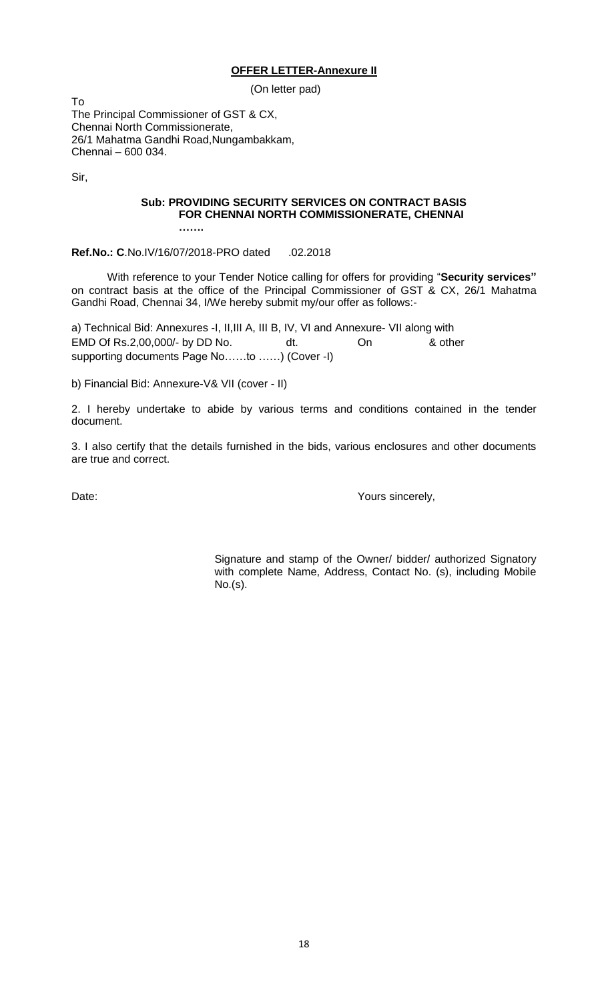#### **OFFER LETTER-Annexure II**

(On letter pad)

To The Principal Commissioner of GST & CX, Chennai North Commissionerate, 26/1 Mahatma Gandhi Road,Nungambakkam, Chennai – 600 034.

Sir,

## **Sub: PROVIDING SECURITY SERVICES ON CONTRACT BASIS FOR CHENNAI NORTH COMMISSIONERATE, CHENNAI**

**Ref.No.: C**.No.IV/16/07/2018-PRO dated .02.2018

**…….**

With reference to your Tender Notice calling for offers for providing "**Security services"** on contract basis at the office of the Principal Commissioner of GST & CX, 26/1 Mahatma Gandhi Road, Chennai 34, I/We hereby submit my/our offer as follows:-

a) Technical Bid: Annexures -I, II,III A, III B, IV, VI and Annexure- VII along with EMD Of Rs.2,00,000/- by DD No. dt. On & other supporting documents Page No……to ……) (Cover -I)

b) Financial Bid: Annexure-V& VII (cover - II)

2. I hereby undertake to abide by various terms and conditions contained in the tender document.

3. I also certify that the details furnished in the bids, various enclosures and other documents are true and correct.

Date:  $\blacksquare$ 

Signature and stamp of the Owner/ bidder/ authorized Signatory with complete Name, Address, Contact No. (s), including Mobile No.(s).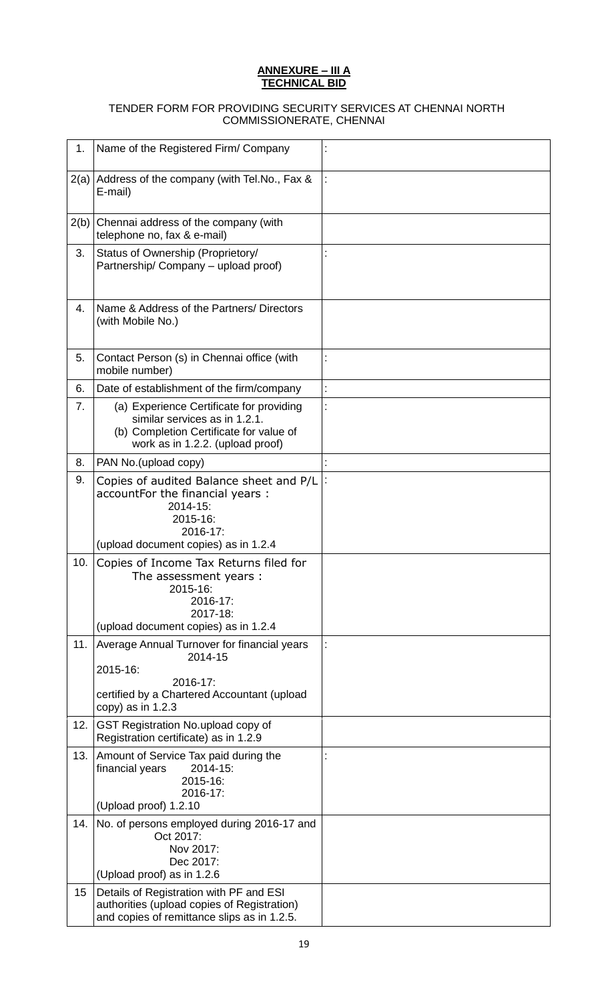#### **ANNEXURE – III A TECHNICAL BID**

#### TENDER FORM FOR PROVIDING SECURITY SERVICES AT CHENNAI NORTH COMMISSIONERATE, CHENNAI

| 1.   | Name of the Registered Firm/ Company                                                                                                                     |                |
|------|----------------------------------------------------------------------------------------------------------------------------------------------------------|----------------|
| 2(a) | Address of the company (with Tel.No., Fax &<br>E-mail)                                                                                                   |                |
| 2(b) | Chennai address of the company (with<br>telephone no, fax & e-mail)                                                                                      |                |
| 3.   | Status of Ownership (Proprietory/<br>Partnership/ Company - upload proof)                                                                                |                |
| 4.   | Name & Address of the Partners/ Directors<br>(with Mobile No.)                                                                                           |                |
| 5.   | Contact Person (s) in Chennai office (with<br>mobile number)                                                                                             |                |
| 6.   | Date of establishment of the firm/company                                                                                                                | $\ddot{\cdot}$ |
| 7.   | (a) Experience Certificate for providing<br>similar services as in 1.2.1.<br>(b) Completion Certificate for value of<br>work as in 1.2.2. (upload proof) |                |
| 8.   | PAN No.(upload copy)                                                                                                                                     |                |
| 9.   | Copies of audited Balance sheet and P/L<br>accountFor the financial years :<br>2014-15:<br>2015-16:<br>2016-17:<br>(upload document copies) as in 1.2.4  |                |
| 10.  | Copies of Income Tax Returns filed for<br>The assessment years:<br>2015-16:<br>2016-17:<br>2017-18:<br>(upload document copies) as in 1.2.4              |                |
| 11.  | Average Annual Turnover for financial years<br>2014-15<br>2015-16:<br>2016-17:<br>certified by a Chartered Accountant (upload<br>copy) as in 1.2.3       |                |
| 12.  | GST Registration No.upload copy of<br>Registration certificate) as in 1.2.9                                                                              |                |
| 13.  | Amount of Service Tax paid during the<br>2014-15:<br>financial years<br>2015-16:<br>2016-17:                                                             |                |
|      | (Upload proof) 1.2.10                                                                                                                                    |                |
| 14.  | No. of persons employed during 2016-17 and<br>Oct 2017:<br>Nov 2017:<br>Dec 2017:<br>(Upload proof) as in 1.2.6                                          |                |
| 15   | Details of Registration with PF and ESI<br>authorities (upload copies of Registration)<br>and copies of remittance slips as in 1.2.5.                    |                |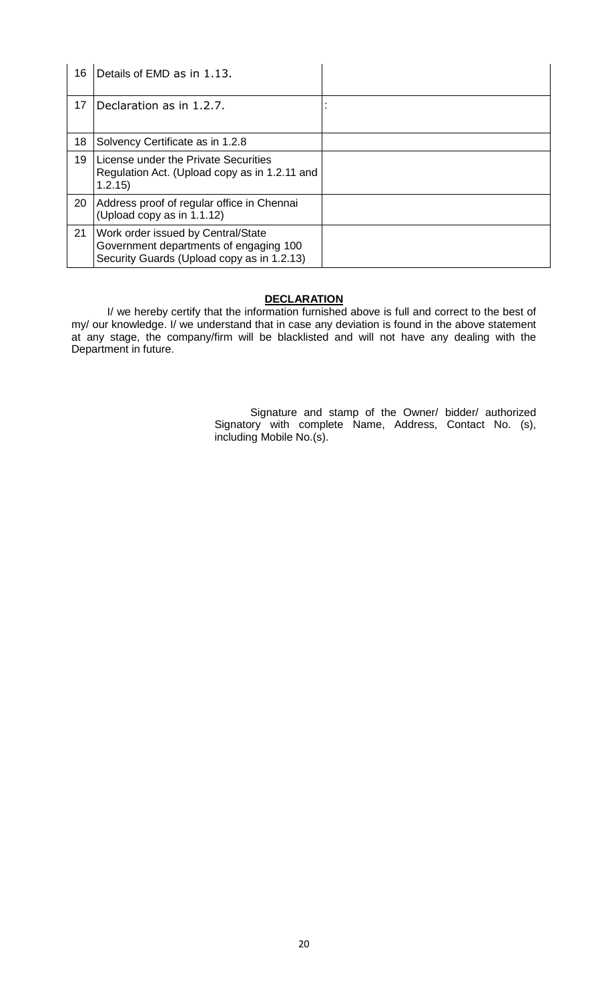| 16 | Details of EMD as in 1.13.                                                                                                 |  |
|----|----------------------------------------------------------------------------------------------------------------------------|--|
| 17 | Declaration as in 1.2.7.                                                                                                   |  |
| 18 | Solvency Certificate as in 1.2.8                                                                                           |  |
| 19 | License under the Private Securities<br>Regulation Act. (Upload copy as in 1.2.11 and<br>1.2.15)                           |  |
| 20 | Address proof of regular office in Chennai<br>(Upload copy as in 1.1.12)                                                   |  |
| 21 | Work order issued by Central/State<br>Government departments of engaging 100<br>Security Guards (Upload copy as in 1.2.13) |  |

## **DECLARATION**

I/ we hereby certify that the information furnished above is full and correct to the best of my/ our knowledge. I/ we understand that in case any deviation is found in the above statement at any stage, the company/firm will be blacklisted and will not have any dealing with the Department in future.

> Signature and stamp of the Owner/ bidder/ authorized Signatory with complete Name, Address, Contact No. (s), including Mobile No.(s).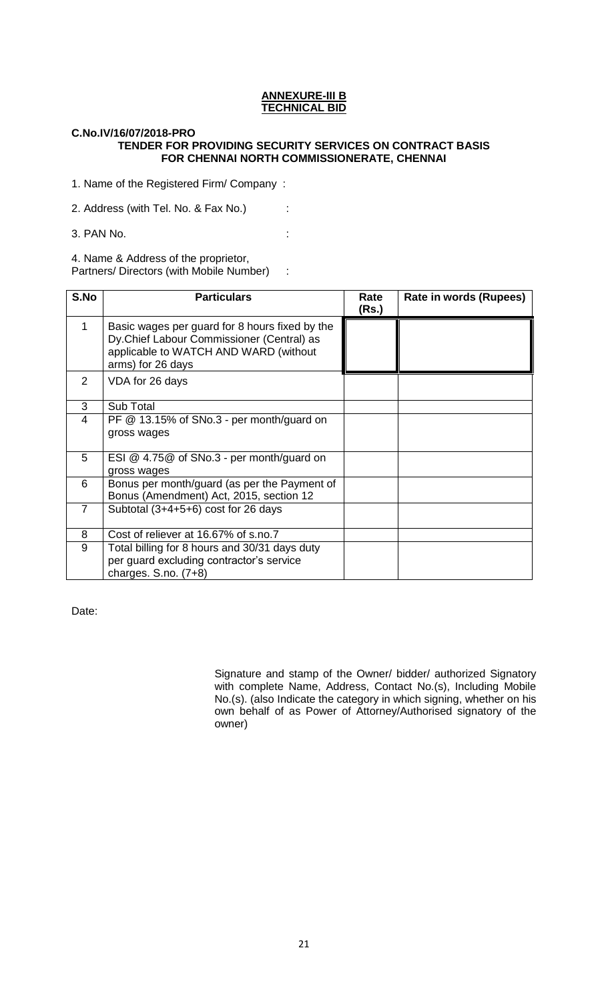#### **ANNEXURE-III B TECHNICAL BID**

#### **C.No.IV/16/07/2018-PRO TENDER FOR PROVIDING SECURITY SERVICES ON CONTRACT BASIS FOR CHENNAI NORTH COMMISSIONERATE, CHENNAI**

1. Name of the Registered Firm/ Company :

2. Address (with Tel. No. & Fax No.) :

3. PAN No. :

4. Name & Address of the proprietor,

Partners/ Directors (with Mobile Number) :

| S.No           | <b>Particulars</b>                                                                                                                                        | Rate<br>(Rs.) | Rate in words (Rupees) |
|----------------|-----------------------------------------------------------------------------------------------------------------------------------------------------------|---------------|------------------------|
| 1              | Basic wages per guard for 8 hours fixed by the<br>Dy.Chief Labour Commissioner (Central) as<br>applicable to WATCH AND WARD (without<br>arms) for 26 days |               |                        |
| $\overline{2}$ | VDA for 26 days                                                                                                                                           |               |                        |
| 3              | Sub Total                                                                                                                                                 |               |                        |
| 4              | PF $@$ 13.15% of SNo.3 - per month/guard on<br>gross wages                                                                                                |               |                        |
| 5              | ESI @ 4.75@ of SNo.3 - per month/guard on<br>gross wages                                                                                                  |               |                        |
| 6              | Bonus per month/guard (as per the Payment of<br>Bonus (Amendment) Act, 2015, section 12                                                                   |               |                        |
| $\overline{7}$ | Subtotal $(3+4+5+6)$ cost for 26 days                                                                                                                     |               |                        |
| 8              | Cost of reliever at 16.67% of s.no.7                                                                                                                      |               |                        |
| 9              | Total billing for 8 hours and 30/31 days duty<br>per guard excluding contractor's service<br>charges. S.no. $(7+8)$                                       |               |                        |

Date:

Signature and stamp of the Owner/ bidder/ authorized Signatory with complete Name, Address, Contact No.(s), Including Mobile No.(s). (also Indicate the category in which signing, whether on his own behalf of as Power of Attorney/Authorised signatory of the owner)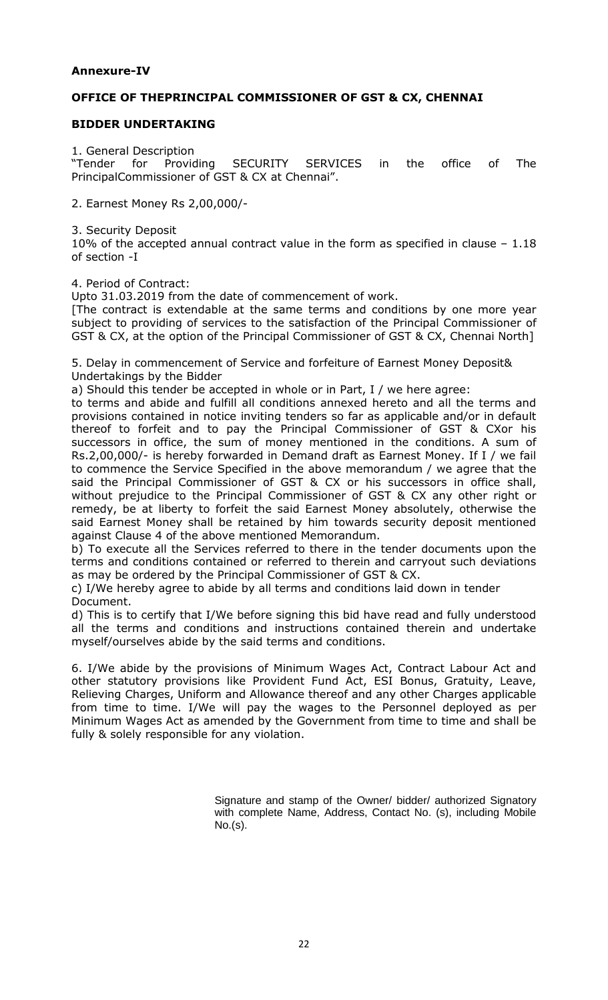## **Annexure-IV**

## **OFFICE OF THEPRINCIPAL COMMISSIONER OF GST & CX, CHENNAI**

## **BIDDER UNDERTAKING**

1. General Description

"Tender for Providing SECURITY SERVICES in the office of The PrincipalCommissioner of GST & CX at Chennai".

2. Earnest Money Rs 2,00,000/-

3. Security Deposit

10% of the accepted annual contract value in the form as specified in clause – 1.18 of section -I

4. Period of Contract:

Upto 31.03.2019 from the date of commencement of work.

[The contract is extendable at the same terms and conditions by one more year subject to providing of services to the satisfaction of the Principal Commissioner of GST & CX, at the option of the Principal Commissioner of GST & CX, Chennai North]

5. Delay in commencement of Service and forfeiture of Earnest Money Deposit& Undertakings by the Bidder

a) Should this tender be accepted in whole or in Part, I / we here agree:

to terms and abide and fulfill all conditions annexed hereto and all the terms and provisions contained in notice inviting tenders so far as applicable and/or in default thereof to forfeit and to pay the Principal Commissioner of GST & CXor his successors in office, the sum of money mentioned in the conditions. A sum of Rs.2,00,000/- is hereby forwarded in Demand draft as Earnest Money. If I / we fail to commence the Service Specified in the above memorandum / we agree that the said the Principal Commissioner of GST & CX or his successors in office shall, without prejudice to the Principal Commissioner of GST & CX any other right or remedy, be at liberty to forfeit the said Earnest Money absolutely, otherwise the said Earnest Money shall be retained by him towards security deposit mentioned against Clause 4 of the above mentioned Memorandum.

b) To execute all the Services referred to there in the tender documents upon the terms and conditions contained or referred to therein and carryout such deviations as may be ordered by the Principal Commissioner of GST & CX.

c) I/We hereby agree to abide by all terms and conditions laid down in tender Document.

d) This is to certify that I/We before signing this bid have read and fully understood all the terms and conditions and instructions contained therein and undertake myself/ourselves abide by the said terms and conditions.

6. I/We abide by the provisions of Minimum Wages Act, Contract Labour Act and other statutory provisions like Provident Fund Act, ESI Bonus, Gratuity, Leave, Relieving Charges, Uniform and Allowance thereof and any other Charges applicable from time to time. I/We will pay the wages to the Personnel deployed as per Minimum Wages Act as amended by the Government from time to time and shall be fully & solely responsible for any violation.

> Signature and stamp of the Owner/ bidder/ authorized Signatory with complete Name, Address, Contact No. (s), including Mobile No.(s).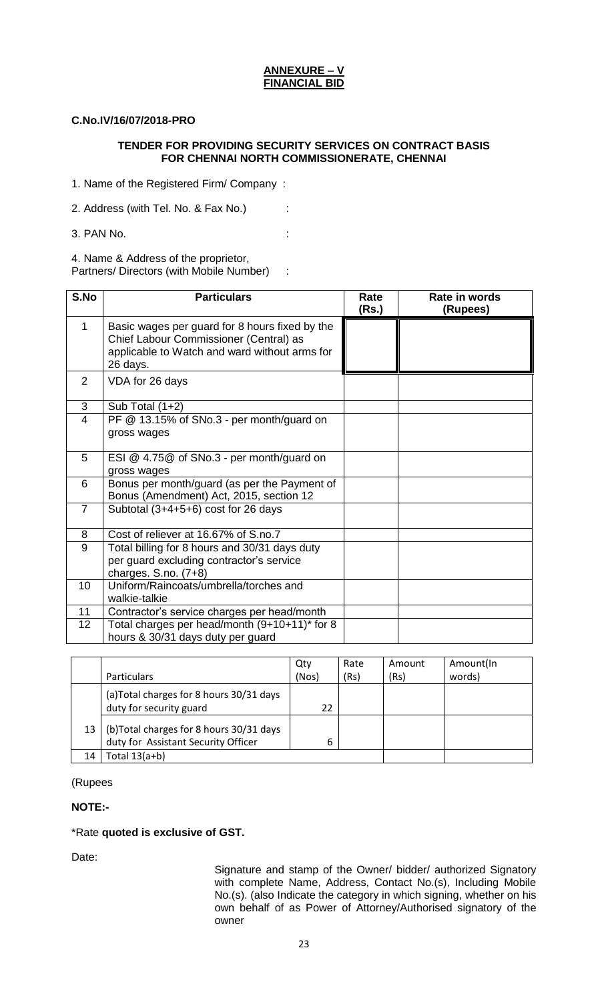#### **ANNEXURE – V FINANCIAL BID**

## **C.No.IV/16/07/2018-PRO**

## **TENDER FOR PROVIDING SECURITY SERVICES ON CONTRACT BASIS FOR CHENNAI NORTH COMMISSIONERATE, CHENNAI**

1. Name of the Registered Firm/ Company :

2. Address (with Tel. No. & Fax No.) :

3. PAN No. :

4. Name & Address of the proprietor,

Partners/ Directors (with Mobile Number) :

| S.No           | <b>Particulars</b>                                                                                                                                    | Rate<br>(Rs.) | Rate in words<br>(Rupees) |
|----------------|-------------------------------------------------------------------------------------------------------------------------------------------------------|---------------|---------------------------|
| 1              | Basic wages per guard for 8 hours fixed by the<br>Chief Labour Commissioner (Central) as<br>applicable to Watch and ward without arms for<br>26 days. |               |                           |
| 2              | VDA for 26 days                                                                                                                                       |               |                           |
| 3              | Sub Total $(1+2)$                                                                                                                                     |               |                           |
| $\overline{4}$ | PF @ 13.15% of SNo.3 - per month/guard on                                                                                                             |               |                           |
|                | gross wages                                                                                                                                           |               |                           |
| 5              | ESI @ 4.75@ of SNo.3 - per month/guard on                                                                                                             |               |                           |
|                | gross wages                                                                                                                                           |               |                           |
| 6              | Bonus per month/guard (as per the Payment of<br>Bonus (Amendment) Act, 2015, section 12                                                               |               |                           |
| $\overline{7}$ | Subtotal (3+4+5+6) cost for 26 days                                                                                                                   |               |                           |
| 8              | Cost of reliever at 16.67% of S.no.7                                                                                                                  |               |                           |
| 9              | Total billing for 8 hours and 30/31 days duty                                                                                                         |               |                           |
|                | per guard excluding contractor's service<br>charges. S.no. $(7+8)$                                                                                    |               |                           |
| 10             | Uniform/Raincoats/umbrella/torches and<br>walkie-talkie                                                                                               |               |                           |
| 11             | Contractor's service charges per head/month                                                                                                           |               |                           |
| 12             | Total charges per head/month (9+10+11)* for 8                                                                                                         |               |                           |
|                | hours & 30/31 days duty per guard                                                                                                                     |               |                           |

|    |                                                                                | Qty   | Rate | Amount | Amount(In |
|----|--------------------------------------------------------------------------------|-------|------|--------|-----------|
|    | <b>Particulars</b>                                                             | (Nos) | (Rs) | (Rs)   | words)    |
|    | (a)Total charges for 8 hours 30/31 days<br>duty for security guard             | 22    |      |        |           |
| 13 | (b)Total charges for 8 hours 30/31 days<br>duty for Assistant Security Officer | 6     |      |        |           |
| 14 | Total $13(a+b)$                                                                |       |      |        |           |

(Rupees

## **NOTE:-**

## \*Rate **quoted is exclusive of GST.**

Date:

Signature and stamp of the Owner/ bidder/ authorized Signatory with complete Name, Address, Contact No.(s), Including Mobile No.(s). (also Indicate the category in which signing, whether on his own behalf of as Power of Attorney/Authorised signatory of the owner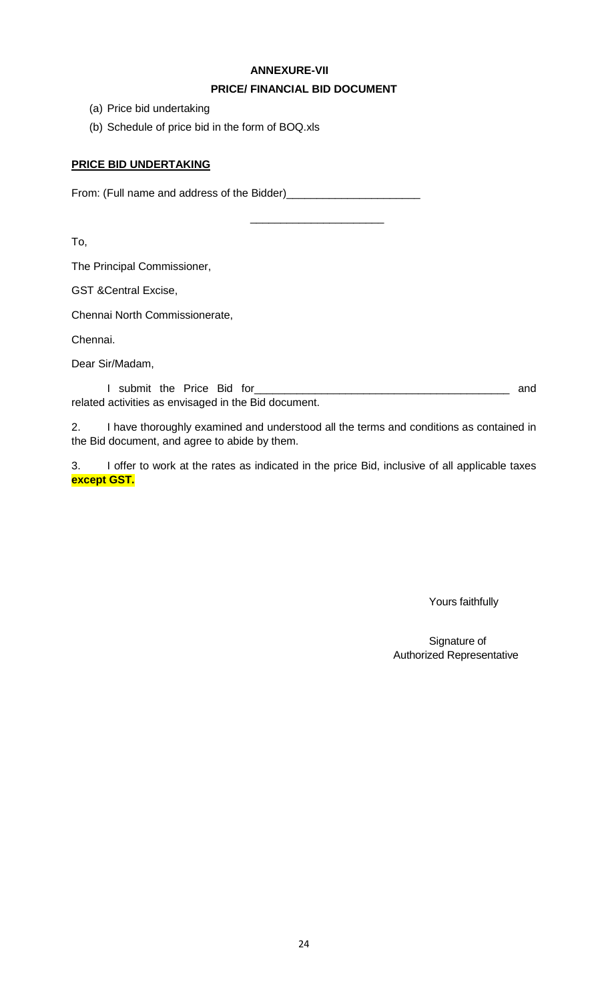## **ANNEXURE-VII**

## **PRICE/ FINANCIAL BID DOCUMENT**

\_\_\_\_\_\_\_\_\_\_\_\_\_\_\_\_\_\_\_\_\_\_

- (a) Price bid undertaking
- (b) Schedule of price bid in the form of BOQ.xls

## **PRICE BID UNDERTAKING**

From: (Full name and address of the Bidder)\_\_\_\_\_\_\_\_\_\_\_\_\_\_\_\_\_\_\_\_\_\_

To,

The Principal Commissioner,

GST &Central Excise,

Chennai North Commissionerate,

Chennai.

Dear Sir/Madam,

I submit the Price Bid for\_\_\_\_\_\_\_\_\_\_\_\_\_\_\_\_\_\_\_\_\_\_\_\_\_\_\_\_\_\_\_\_\_\_\_\_\_\_\_\_\_\_ and related activities as envisaged in the Bid document.

2. I have thoroughly examined and understood all the terms and conditions as contained in the Bid document, and agree to abide by them.

3. I offer to work at the rates as indicated in the price Bid, inclusive of all applicable taxes **except GST.**

Yours faithfully

Signature of Authorized Representative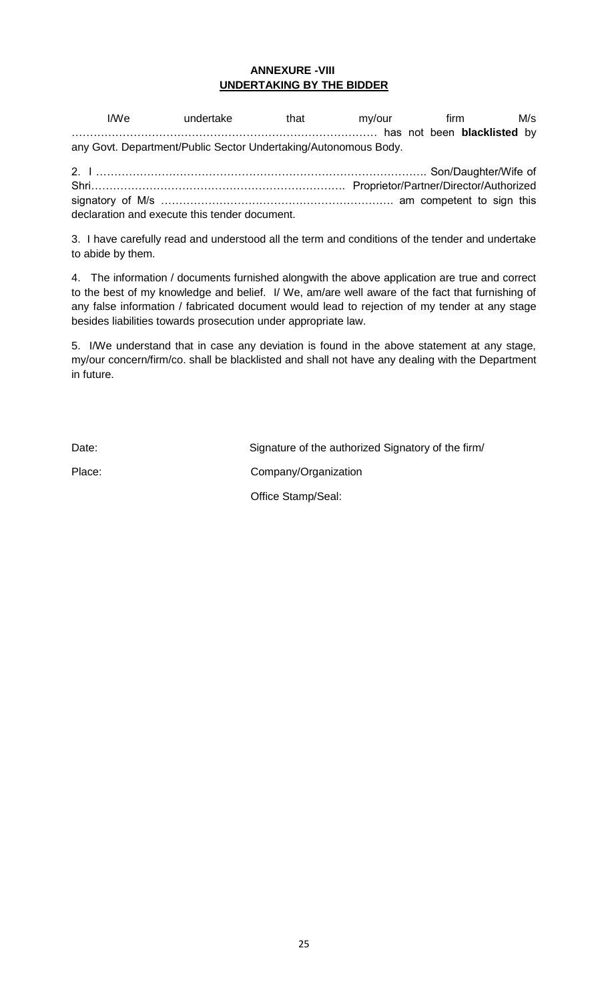## **ANNEXURE -VIII UNDERTAKING BY THE BIDDER**

I/We undertake that my/our firm M/s ………………………………………………………………………… has not been **blacklisted** by any Govt. Department/Public Sector Undertaking/Autonomous Body.

2. I ………………………………………………………………………………. Son/Daughter/Wife of Shri……………………………………………………………. Proprietor/Partner/Director/Authorized signatory of M/s ………………………………………………………. am competent to sign this declaration and execute this tender document.

3. I have carefully read and understood all the term and conditions of the tender and undertake to abide by them.

4. The information / documents furnished alongwith the above application are true and correct to the best of my knowledge and belief. I/ We, am/are well aware of the fact that furnishing of any false information / fabricated document would lead to rejection of my tender at any stage besides liabilities towards prosecution under appropriate law.

5. I/We understand that in case any deviation is found in the above statement at any stage, my/our concern/firm/co. shall be blacklisted and shall not have any dealing with the Department in future.

Date: Date: Signature of the authorized Signatory of the firm/ Place: Company/Organization Office Stamp/Seal: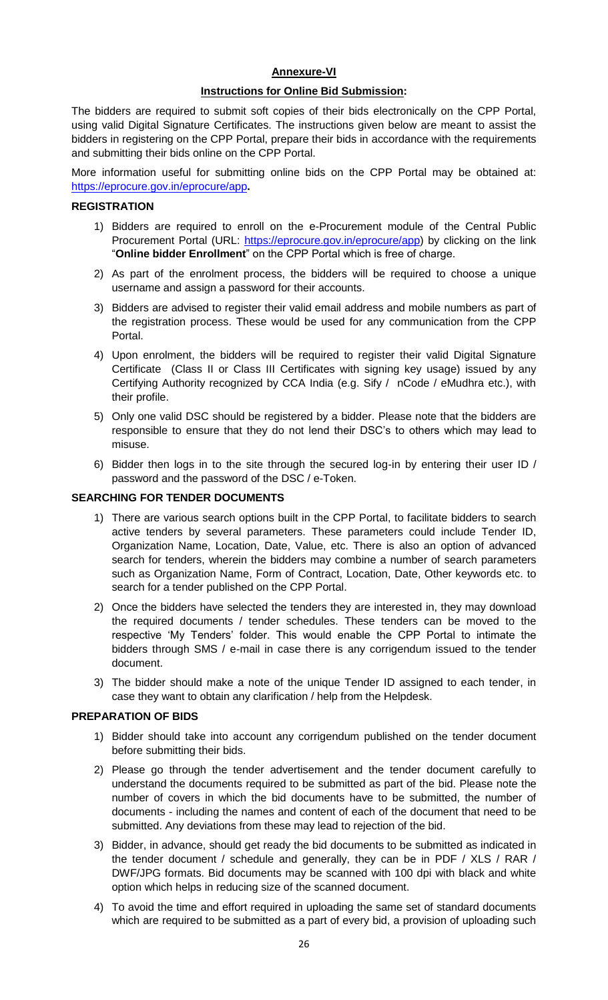## **Annexure-VI**

### **Instructions for Online Bid Submission:**

The bidders are required to submit soft copies of their bids electronically on the CPP Portal, using valid Digital Signature Certificates. The instructions given below are meant to assist the bidders in registering on the CPP Portal, prepare their bids in accordance with the requirements and submitting their bids online on the CPP Portal.

More information useful for submitting online bids on the CPP Portal may be obtained at: <https://eprocure.gov.in/eprocure/app>**.**

## **REGISTRATION**

- 1) Bidders are required to enroll on the e-Procurement module of the Central Public Procurement Portal (URL: [https://eprocure.gov.in/eprocure/app\)](https://eprocure.gov.in/eprocure/app) by clicking on the link "**Online bidder Enrollment**" on the CPP Portal which is free of charge.
- 2) As part of the enrolment process, the bidders will be required to choose a unique username and assign a password for their accounts.
- 3) Bidders are advised to register their valid email address and mobile numbers as part of the registration process. These would be used for any communication from the CPP Portal.
- 4) Upon enrolment, the bidders will be required to register their valid Digital Signature Certificate (Class II or Class III Certificates with signing key usage) issued by any Certifying Authority recognized by CCA India (e.g. Sify / nCode / eMudhra etc.), with their profile.
- 5) Only one valid DSC should be registered by a bidder. Please note that the bidders are responsible to ensure that they do not lend their DSC"s to others which may lead to misuse.
- 6) Bidder then logs in to the site through the secured log-in by entering their user ID / password and the password of the DSC / e-Token.

#### **SEARCHING FOR TENDER DOCUMENTS**

- 1) There are various search options built in the CPP Portal, to facilitate bidders to search active tenders by several parameters. These parameters could include Tender ID, Organization Name, Location, Date, Value, etc. There is also an option of advanced search for tenders, wherein the bidders may combine a number of search parameters such as Organization Name, Form of Contract, Location, Date, Other keywords etc. to search for a tender published on the CPP Portal.
- 2) Once the bidders have selected the tenders they are interested in, they may download the required documents / tender schedules. These tenders can be moved to the respective "My Tenders" folder. This would enable the CPP Portal to intimate the bidders through SMS / e-mail in case there is any corrigendum issued to the tender document.
- 3) The bidder should make a note of the unique Tender ID assigned to each tender, in case they want to obtain any clarification / help from the Helpdesk.

#### **PREPARATION OF BIDS**

- 1) Bidder should take into account any corrigendum published on the tender document before submitting their bids.
- 2) Please go through the tender advertisement and the tender document carefully to understand the documents required to be submitted as part of the bid. Please note the number of covers in which the bid documents have to be submitted, the number of documents - including the names and content of each of the document that need to be submitted. Any deviations from these may lead to rejection of the bid.
- 3) Bidder, in advance, should get ready the bid documents to be submitted as indicated in the tender document / schedule and generally, they can be in PDF / XLS / RAR / DWF/JPG formats. Bid documents may be scanned with 100 dpi with black and white option which helps in reducing size of the scanned document.
- 4) To avoid the time and effort required in uploading the same set of standard documents which are required to be submitted as a part of every bid, a provision of uploading such